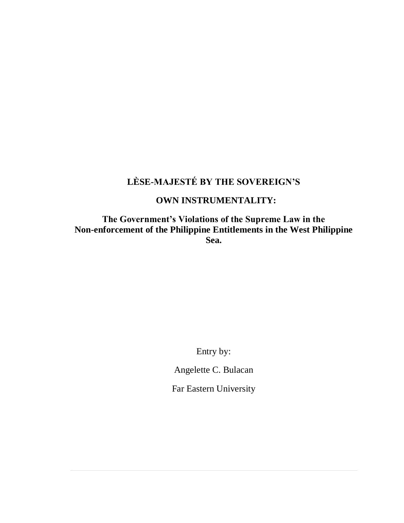# **LÈSE-MAJESTÉ BY THE SOVEREIGN'S**

# **OWN INSTRUMENTALITY:**

**The Government's Violations of the Supreme Law in the Non-enforcement of the Philippine Entitlements in the West Philippine Sea.**

Entry by:

Angelette C. Bulacan

Far Eastern University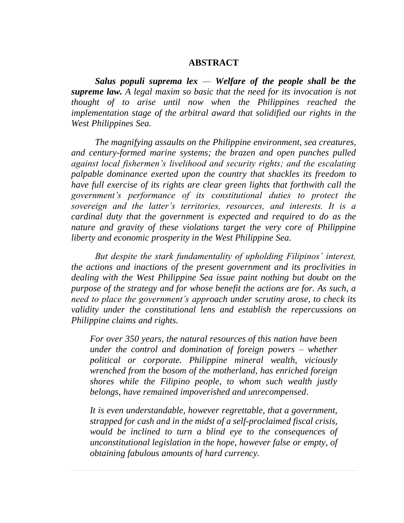#### **ABSTRACT**

*Salus populi suprema lex — Welfare of the people shall be the supreme law. A legal maxim so basic that the need for its invocation is not thought of to arise until now when the Philippines reached the implementation stage of the arbitral award that solidified our rights in the West Philippines Sea.* 

*The magnifying assaults on the Philippine environment, sea creatures, and century-formed marine systems; the brazen and open punches pulled against local fishermen's livelihood and security rights; and the escalating palpable dominance exerted upon the country that shackles its freedom to have full exercise of its rights are clear green lights that forthwith call the government's performance of its constitutional duties to protect the sovereign and the latter's territories, resources, and interests. It is a cardinal duty that the government is expected and required to do as the nature and gravity of these violations target the very core of Philippine liberty and economic prosperity in the West Philippine Sea.* 

*But despite the stark fundamentality of upholding Filipinos' interest, the actions and inactions of the present government and its proclivities in dealing with the West Philippine Sea issue paint nothing but doubt on the purpose of the strategy and for whose benefit the actions are for. As such, a need to place the government's approach under scrutiny arose, to check its validity under the constitutional lens and establish the repercussions on Philippine claims and rights.* 

*For over 350 years, the natural resources of this nation have been under the control and domination of foreign powers – whether political or corporate. Philippine mineral wealth, viciously wrenched from the bosom of the motherland, has enriched foreign shores while the Filipino people, to whom such wealth justly belongs, have remained impoverished and unrecompensed.*

*It is even understandable, however regrettable, that a government, strapped for cash and in the midst of a self-proclaimed fiscal crisis, would be inclined to turn a blind eye to the consequences of unconstitutional legislation in the hope, however false or empty, of obtaining fabulous amounts of hard currency.*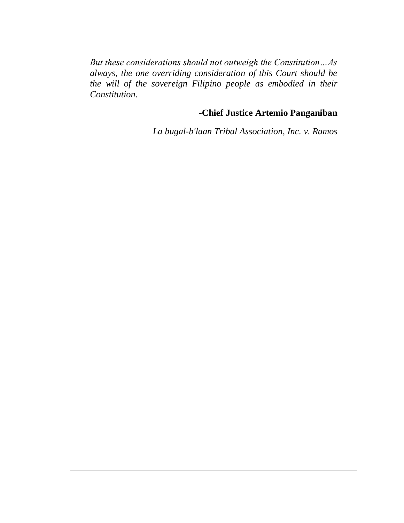*But these considerations should not outweigh the Constitution…As always, the one overriding consideration of this Court should be the will of the sovereign Filipino people as embodied in their Constitution.* 

# **-Chief Justice Artemio Panganiban**

*La bugal-b'laan Tribal Association, Inc. v. Ramos*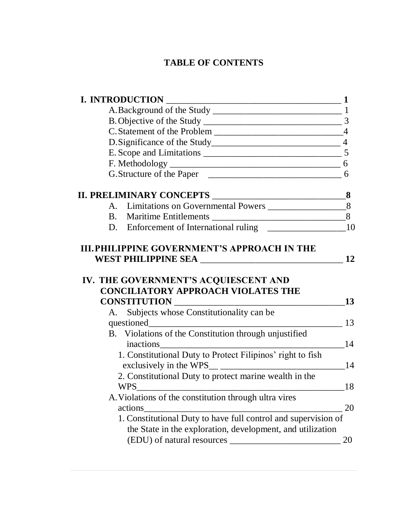# **TABLE OF CONTENTS**

| <b>I. INTRODUCTION</b>                                                                                   | $\mathbf 1$ |
|----------------------------------------------------------------------------------------------------------|-------------|
|                                                                                                          |             |
|                                                                                                          |             |
|                                                                                                          |             |
|                                                                                                          |             |
|                                                                                                          |             |
|                                                                                                          |             |
|                                                                                                          |             |
|                                                                                                          |             |
|                                                                                                          |             |
|                                                                                                          |             |
|                                                                                                          |             |
| IV. THE GOVERNMENT'S ACQUIESCENT AND<br><b>CONCILIATORY APPROACH VIOLATES THE</b><br><b>CONSTITUTION</b> | 13          |
| <u> 1980 - Johann Barbara, martxa alemaniar a</u><br>A. Subjects whose Constitutionality can be          |             |
|                                                                                                          | 13          |
| B. Violations of the Constitution through unjustified                                                    |             |
| inactions                                                                                                | 14          |
| 1. Constitutional Duty to Protect Filipinos' right to fish                                               |             |
|                                                                                                          | 14          |
| 2. Constitutional Duty to protect marine wealth in the                                                   |             |
| <b>WPS</b>                                                                                               | 18          |
| A. Violations of the constitution through ultra vires                                                    |             |
| actions                                                                                                  | 20          |
| 1. Constitutional Duty to have full control and supervision of                                           |             |
|                                                                                                          |             |
| the State in the exploration, development, and utilization<br>(EDU) of natural resources                 | 20          |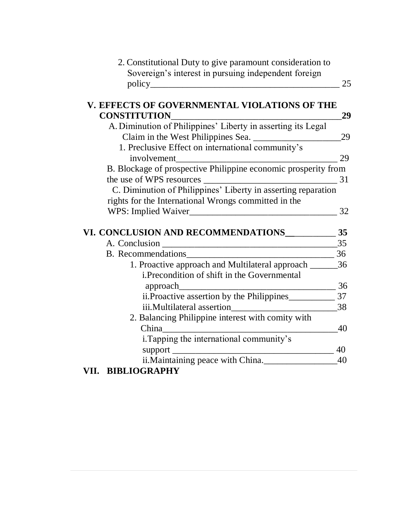| 2. Constitutional Duty to give paramount consideration to      |          |
|----------------------------------------------------------------|----------|
| Sovereign's interest in pursuing independent foreign           |          |
|                                                                | 25       |
|                                                                |          |
| V. EFFECTS OF GOVERNMENTAL VIOLATIONS OF THE                   |          |
| <b>CONSTITUTION</b>                                            | 29       |
| A. Diminution of Philippines' Liberty in asserting its Legal   |          |
|                                                                | 29       |
| 1. Preclusive Effect on international community's              |          |
| involvement                                                    | 29       |
| B. Blockage of prospective Philippine economic prosperity from |          |
|                                                                |          |
| C. Diminution of Philippines' Liberty in asserting reparation  |          |
| rights for the International Wrongs committed in the           |          |
|                                                                | 32       |
|                                                                |          |
| VI. CONCLUSION AND RECOMMENDATIONS 35                          |          |
|                                                                | 35       |
| B. Recommendations                                             |          |
| 1. Proactive approach and Multilateral approach ______         | 36       |
| <i>i.Precondition of shift in the Governmental</i>             |          |
|                                                                | 36       |
|                                                                |          |
|                                                                | 38       |
| 2. Balancing Philippine interest with comity with              |          |
|                                                                |          |
|                                                                | 40       |
|                                                                |          |
| i. Tapping the international community's                       |          |
|                                                                | 40<br>40 |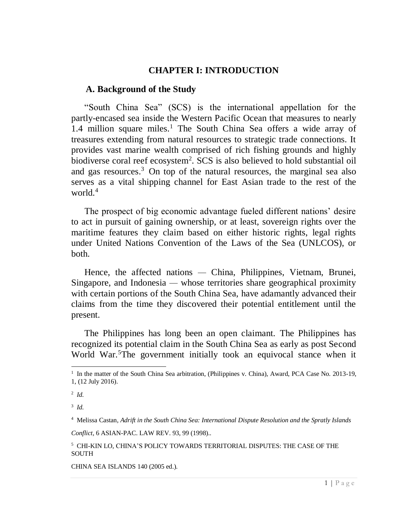#### **CHAPTER I: INTRODUCTION**

#### <span id="page-5-0"></span>**A. Background of the Study**

"South China Sea" (SCS) is the international appellation for the partly-encased sea inside the Western Pacific Ocean that measures to nearly 1.4 million square miles.<sup>1</sup> The South China Sea offers a wide array of treasures extending from natural resources to strategic trade connections. It provides vast marine wealth comprised of rich fishing grounds and highly biodiverse coral reef ecosystem<sup>2</sup>. SCS is also believed to hold substantial oil and gas resources. <sup>3</sup> On top of the natural resources, the marginal sea also serves as a vital shipping channel for East Asian trade to the rest of the world.<sup>4</sup>

The prospect of big economic advantage fueled different nations' desire to act in pursuit of gaining ownership, or at least, sovereign rights over the maritime features they claim based on either historic rights, legal rights under United Nations Convention of the Laws of the Sea (UNLCOS), or both.

Hence, the affected nations *—* China, Philippines, Vietnam, Brunei, Singapore, and Indonesia *—* whose territories share geographical proximity with certain portions of the South China Sea, have adamantly advanced their claims from the time they discovered their potential entitlement until the present.

The Philippines has long been an open claimant. The Philippines has recognized its potential claim in the South China Sea as early as post Second World War.<sup>5</sup>The government initially took an equivocal stance when it

 $\overline{a}$ 

3 *Id.*

*Conflict*, 6 ASIAN-PAC. LAW REV. 93, 99 (1998).*.*

CHINA SEA ISLANDS 140 (2005 ed.).

<sup>&</sup>lt;sup>1</sup> In the matter of the South China Sea arbitration, (Philippines v. China), Award, PCA Case No. 2013-19, 1, (12 July 2016).

<sup>2</sup> *Id.*

<sup>4</sup> Melissa Castan, *Adrift in the South China Sea: International Dispute Resolution and the Spratly Islands*

<sup>5</sup> CHI-KIN LO, CHINA'S POLICY TOWARDS TERRITORIAL DISPUTES: THE CASE OF THE **SOUTH**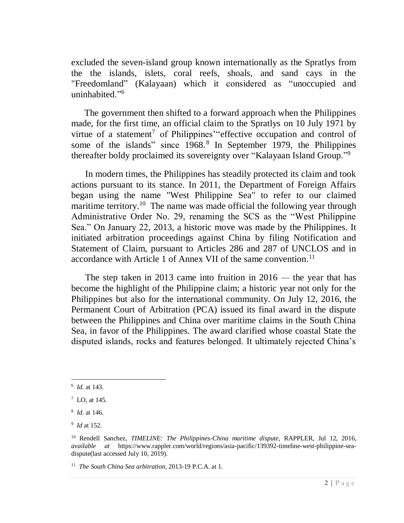excluded the seven-island group known internationally as the Spratlys from the the islands, islets, coral reefs, shoals, and sand cays in the "Freedomland" (Kalayaan) which it considered as "unoccupied and uninhabited."<sup>6</sup>

The government then shifted to a forward approach when the Philippines made, for the first time, an official claim to the Spratlys on 10 July 1971 by virtue of a statement<sup>7</sup> of Philippines' "effective occupation and control of some of the islands" since 1968.<sup>8</sup> In September 1979, the Philippines thereafter boldy proclaimed its sovereignty over "Kalayaan Island Group."<sup>9</sup>

In modern times, the Philippines has steadily protected its claim and took actions pursuant to its stance. In 2011, the Department of Foreign Affairs began using the name ["West Philippine Sea"](http://interaksyon.com/article/4877/south-china-sea-you-mean-the-west-philippine-sea-says-philippines) to refer to our claimed maritime territory.<sup>10</sup> The name was made official the following year through Administrative Order No. 29, renaming the SCS as the "West Philippine Sea." On January 22, 2013, a historic move was made by the Philippines. It initiated arbitration proceedings against China by filing Notification and Statement of Claim, pursuant to Articles 286 and 287 of UNCLOS and in accordance with Article 1 of Annex VII of the same convention.<sup>11</sup>

The step taken in 2013 came into fruition in 2016 *—* the year that has become the highlight of the Philippine claim; a historic year not only for the Philippines but also for the international community. On July 12, 2016, the Permanent Court of Arbitration (PCA) issued its final award in the dispute between the Philippines and China over maritime claims in the South China Sea, in favor of the Philippines. The award clarified whose coastal State the disputed islands, rocks and features belonged. It ultimately rejected China's

<sup>6</sup> *Id.* at 143.

<sup>7</sup> LO, at 145.

<sup>8</sup> *Id.* at 146.

<sup>9</sup> *Id* at 152.

<sup>10</sup> Rendell Sanchez, *TIMELINE: The Philippines-China maritime dispute*, RAPPLER, Jul 12, 2016, *available at* [https://www.rappler.com/world/regions/asia-pacific/139392-timeline-west-philippine-sea](https://www.rappler.com/world/regions/asia-pacific/139392-timeline-west-philippine-sea-)dispute(last accessed July 10, 2019).

<sup>11</sup> *The South China Sea arbitration*, 2013-19 P.C.A. at 1.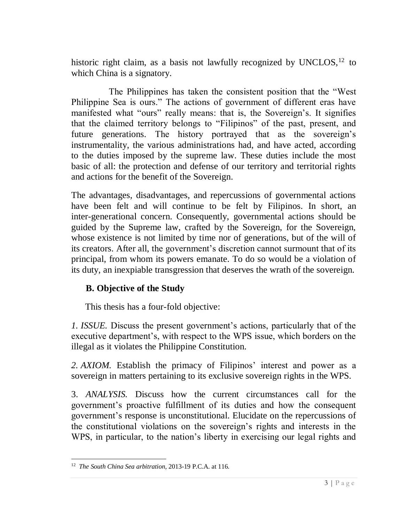historic right claim, as a basis not lawfully recognized by UNCLOS,  $12$  to which China is a signatory.

The Philippines has taken the consistent position that the "West Philippine Sea is ours." The actions of government of different eras have manifested what "ours" really means: that is, the Sovereign's. It signifies that the claimed territory belongs to "Filipinos" of the past, present, and future generations. The history portrayed that as the sovereign's instrumentality, the various administrations had, and have acted, according to the duties imposed by the supreme law. These duties include the most basic of all: the protection and defense of our territory and territorial rights and actions for the benefit of the Sovereign.

The advantages, disadvantages, and repercussions of governmental actions have been felt and will continue to be felt by Filipinos. In short, an inter-generational concern. Consequently, governmental actions should be guided by the Supreme law, crafted by the Sovereign, for the Sovereign, whose existence is not limited by time nor of generations, but of the will of its creators. After all, the government's discretion cannot surmount that of its principal, from whom its powers emanate. To do so would be a violation of its duty, an inexpiable transgression that deserves the wrath of the sovereign.

# **B. Objective of the Study**

This thesis has a four-fold objective:

*1. ISSUE.* Discuss the present government's actions, particularly that of the executive department's, with respect to the WPS issue, which borders on the illegal as it violates the Philippine Constitution.

*2. AXIOM.* Establish the primacy of Filipinos' interest and power as a sovereign in matters pertaining to its exclusive sovereign rights in the WPS.

3. *ANALYSIS.* Discuss how the current circumstances call for the government's proactive fulfillment of its duties and how the consequent government's response is unconstitutional. Elucidate on the repercussions of the constitutional violations on the sovereign's rights and interests in the WPS, in particular, to the nation's liberty in exercising our legal rights and

<sup>12</sup> *The South China Sea arbitration*, 2013-19 P.C.A. at 116.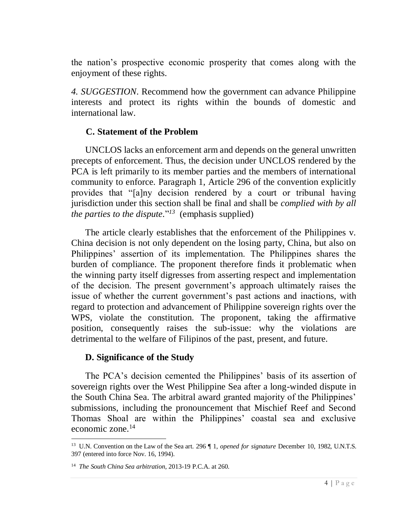the nation's prospective economic prosperity that comes along with the enjoyment of these rights.

*4. SUGGESTION*. Recommend how the government can advance Philippine interests and protect its rights within the bounds of domestic and international law.

# <span id="page-8-0"></span>**C. Statement of the Problem**

UNCLOS lacks an enforcement arm and depends on the general unwritten precepts of enforcement. Thus, the decision under UNCLOS rendered by the PCA is left primarily to its member parties and the members of international community to enforce*.* Paragraph 1, Article 296 of the convention explicitly provides that "[a]ny decision rendered by a court or tribunal having jurisdiction under this section shall be final and shall be *complied with by all the parties to the dispute.*" *<sup>13</sup>* (emphasis supplied)

The article clearly establishes that the enforcement of the Philippines v. China decision is not only dependent on the losing party, China, but also on Philippines' assertion of its implementation. The Philippines shares the burden of compliance. The proponent therefore finds it problematic when the winning party itself digresses from asserting respect and implementation of the decision. The present government's approach ultimately raises the issue of whether the current government's past actions and inactions, with regard to protection and advancement of Philippine sovereign rights over the WPS, violate the constitution. The proponent, taking the affirmative position, consequently raises the sub-issue: why the violations are detrimental to the welfare of Filipinos of the past, present, and future.

# <span id="page-8-1"></span>**D. Significance of the Study**

The PCA's decision cemented the Philippines' basis of its assertion of sovereign rights over the West Philippine Sea after a long-winded dispute in the South China Sea. The arbitral award granted majority of the Philippines' submissions, including the pronouncement that Mischief Reef and Second Thomas Shoal are within the Philippines' coastal sea and exclusive economic zone.<sup>14</sup>

<sup>&</sup>lt;sup>13</sup> U.N. Convention on the Law of the Sea art. 296  $\parallel$  1, *opened for signature* December 10, 1982, U.N.T.S. 397 (entered into force Nov. 16, 1994).

<sup>14</sup> *The South China Sea arbitration*, 2013-19 P.C.A. at 260.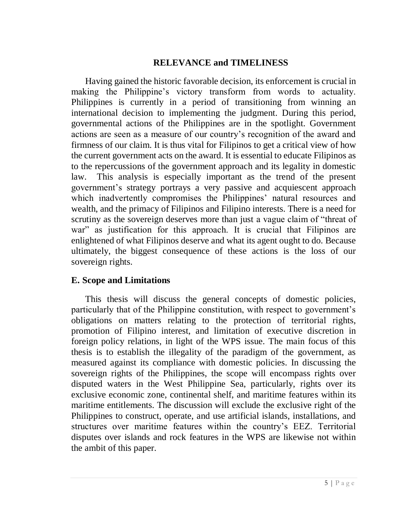# **RELEVANCE and TIMELINESS**

Having gained the historic favorable decision, its enforcement is crucial in making the Philippine's victory transform from words to actuality. Philippines is currently in a period of transitioning from winning an international decision to implementing the judgment. During this period, governmental actions of the Philippines are in the spotlight. Government actions are seen as a measure of our country's recognition of the award and firmness of our claim. It is thus vital for Filipinos to get a critical view of how the current government acts on the award. It is essential to educate Filipinos as to the repercussions of the government approach and its legality in domestic law. This analysis is especially important as the trend of the present government's strategy portrays a very passive and acquiescent approach which inadvertently compromises the Philippines' natural resources and wealth, and the primacy of Filipinos and Filipino interests. There is a need for scrutiny as the sovereign deserves more than just a vague claim of "threat of war" as justification for this approach. It is crucial that Filipinos are enlightened of what Filipinos deserve and what its agent ought to do. Because ultimately, the biggest consequence of these actions is the loss of our sovereign rights.

# <span id="page-9-0"></span>**E. Scope and Limitations**

This thesis will discuss the general concepts of domestic policies, particularly that of the Philippine constitution, with respect to government's obligations on matters relating to the protection of territorial rights, promotion of Filipino interest, and limitation of executive discretion in foreign policy relations, in light of the WPS issue. The main focus of this thesis is to establish the illegality of the paradigm of the government, as measured against its compliance with domestic policies. In discussing the sovereign rights of the Philippines, the scope will encompass rights over disputed waters in the West Philippine Sea, particularly, rights over its exclusive economic zone, continental shelf, and maritime features within its maritime entitlements. The discussion will exclude the exclusive right of the Philippines to construct, operate, and use artificial islands, installations, and structures over maritime features within the country's EEZ. Territorial disputes over islands and rock features in the WPS are likewise not within the ambit of this paper.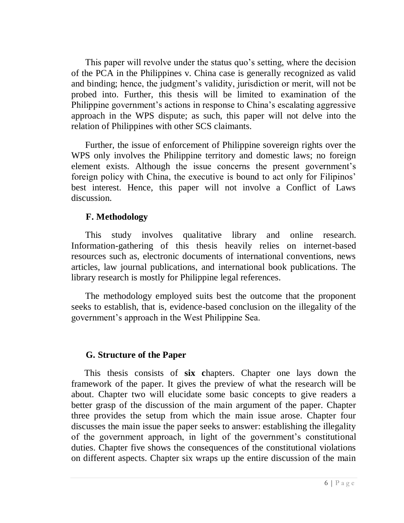This paper will revolve under the status quo's setting, where the decision of the PCA in the Philippines v. China case is generally recognized as valid and binding; hence, the judgment's validity, jurisdiction or merit, will not be probed into. Further, this thesis will be limited to examination of the Philippine government's actions in response to China's escalating aggressive approach in the WPS dispute; as such, this paper will not delve into the relation of Philippines with other SCS claimants.

Further, the issue of enforcement of Philippine sovereign rights over the WPS only involves the Philippine territory and domestic laws; no foreign element exists. Although the issue concerns the present government's foreign policy with China, the executive is bound to act only for Filipinos' best interest. Hence, this paper will not involve a Conflict of Laws discussion.

# <span id="page-10-0"></span>**F. Methodology**

This study involves qualitative library and online research. Information-gathering of this thesis heavily relies on internet-based resources such as, electronic documents of international conventions, news articles, law journal publications, and international book publications. The library research is mostly for Philippine legal references.

The methodology employed suits best the outcome that the proponent seeks to establish, that is, evidence-based conclusion on the illegality of the government's approach in the West Philippine Sea.

# <span id="page-10-1"></span>**G. Structure of the Paper**

This thesis consists of **six c**hapters. Chapter one lays down the framework of the paper. It gives the preview of what the research will be about. Chapter two will elucidate some basic concepts to give readers a better grasp of the discussion of the main argument of the paper. Chapter three provides the setup from which the main issue arose. Chapter four discusses the main issue the paper seeks to answer: establishing the illegality of the government approach, in light of the government's constitutional duties. Chapter five shows the consequences of the constitutional violations on different aspects. Chapter six wraps up the entire discussion of the main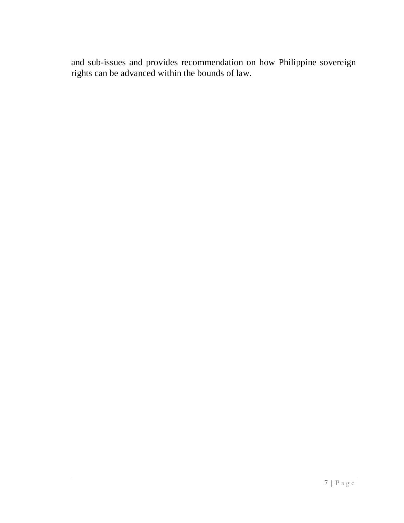and sub-issues and provides recommendation on how Philippine sovereign rights can be advanced within the bounds of law.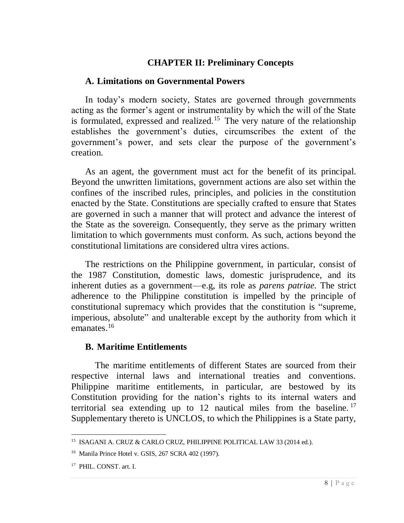# **CHAPTER II: Preliminary Concepts**

# **A. Limitations on Governmental Powers**

In today's modern society, States are governed through governments acting as the former's agent or instrumentality by which the will of the State is formulated, expressed and realized.<sup>15</sup> The very nature of the relationship establishes the government's duties, circumscribes the extent of the government's power, and sets clear the purpose of the government's creation.

As an agent, the government must act for the benefit of its principal. Beyond the unwritten limitations, government actions are also set within the confines of the inscribed rules, principles, and policies in the constitution enacted by the State. Constitutions are specially crafted to ensure that States are governed in such a manner that will protect and advance the interest of the State as the sovereign. Consequently, they serve as the primary written limitation to which governments must conform. As such, actions beyond the constitutional limitations are considered ultra vires actions.

The restrictions on the Philippine government, in particular, consist of the 1987 Constitution, domestic laws, domestic jurisprudence, and its inherent duties as a government—e.g, its role as *parens patriae.* The strict adherence to the Philippine constitution is impelled by the principle of constitutional supremacy which provides that the constitution is "supreme, imperious, absolute" and unalterable except by the authority from which it emanates.<sup>16</sup>

# **B. Maritime Entitlements**

The maritime entitlements of different States are sourced from their respective internal laws and international treaties and conventions. Philippine maritime entitlements, in particular, are bestowed by its Constitution providing for the nation's rights to its internal waters and territorial sea extending up to 12 nautical miles from the baseline.<sup>17</sup> Supplementary thereto is UNCLOS, to which the Philippines is a State party,

 $\overline{a}$ <sup>15</sup> ISAGANI A. CRUZ & CARLO CRUZ, PHILIPPINE POLITICAL LAW 33 (2014 ed.).

<sup>16</sup> Manila Prince Hotel v. GSIS, 267 SCRA 402 (1997).

<sup>&</sup>lt;sup>17</sup> PHIL. CONST. art. I.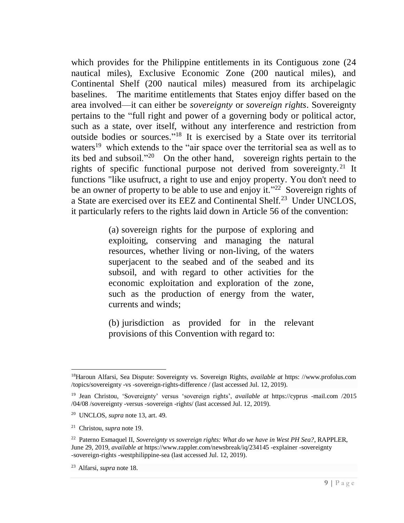which provides for the Philippine entitlements in its Contiguous zone (24 nautical miles), Exclusive Economic Zone (200 nautical miles), and Continental Shelf (200 nautical miles) measured from its archipelagic baselines. The maritime entitlements that States enjoy differ based on the area involved—it can either be *sovereignty* or *sovereign rights*. Sovereignty pertains to the "full right and power of a governing body or political actor, such as a state, over itself, without any interference and restriction from outside bodies or sources." <sup>18</sup> It is exercised by a State over its territorial waters<sup>19</sup> which extends to the "air space over the territorial sea as well as to its bed and subsoil."<sup>20</sup> On the other hand, sovereign rights pertain to the rights of specific functional purpose not derived from sovereignty.<sup>21</sup> It functions "like usufruct, a right to use and enjoy property. You don't need to be an owner of property to be able to use and enjoy it."<sup>22</sup> Sovereign rights of a State are exercised over its EEZ and Continental Shelf.<sup>23</sup> Under UNCLOS, it particularly refers to the rights laid down in Article 56 of the convention:

> (a) sovereign rights for the purpose of exploring and exploiting, conserving and managing the natural resources, whether living or non-living, of the waters superjacent to the seabed and of the seabed and its subsoil, and with regard to other activities for the economic exploitation and exploration of the zone, such as the production of energy from the water, currents and winds;

> (b) jurisdiction as provided for in the relevant provisions of this Convention with regard to:

<sup>18</sup>[Haroun Alfarsi,](https://www.profolus.com/author/haroun-profolus/) Sea Dispute: Sovereignty vs. Sovereign Rights, *available at* https: //www.profolus.com /topics/sovereignty -vs -sovereign-rights-difference / (last accessed Jul. 12, 2019).

<sup>19</sup> Jean Christou, 'Sovereignty' versus 'sovereign rights', *available at* https://cyprus -mail.com /2015 /04/08 /sovereignty -versus -sovereign -rights/ (last accessed Jul. 12, 2019).

<sup>20</sup> UNCLOS, *supra* note 13, art. 49.

<sup>21</sup> Christou, *supra* note 19.

<sup>22</sup> Paterno Esmaquel II, *Sovereignty vs sovereign rights: What do we have in West PH Sea?*, RAPPLER, June 29, 2019, *available at* https://www.rappler.com/newsbreak/iq/234145 -explainer -sovereignty -sovereign-rights -westphilippine-sea (last accessed Jul. 12, 2019).

<sup>23</sup> Alfarsi, *supra* note 18.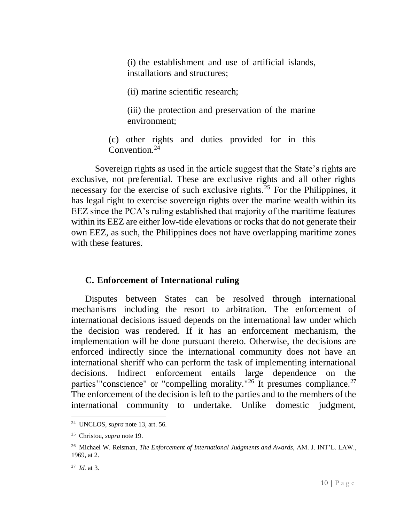(i) the establishment and use of artificial islands, installations and structures;

(ii) marine scientific research;

(iii) the protection and preservation of the marine environment;

(c) other rights and duties provided for in this Convention.<sup>24</sup>

Sovereign rights as used in the article suggest that the State's rights are exclusive, not preferential. These are exclusive rights and all other rights necessary for the exercise of such exclusive rights.<sup>25</sup> For the Philippines, it has legal right to exercise sovereign rights over the marine wealth within its EEZ since the PCA's ruling established that majority of the maritime features within its EEZ are either low-tide elevations or rocks that do not generate their own EEZ, as such, the Philippines does not have overlapping maritime zones with these features.

# **C. Enforcement of International ruling**

Disputes between States can be resolved through international mechanisms including the resort to arbitration. The enforcement of international decisions issued depends on the international law under which the decision was rendered. If it has an enforcement mechanism, the implementation will be done pursuant thereto. Otherwise, the decisions are enforced indirectly since the international community does not have an international sheriff who can perform the task of implementing international decisions. Indirect enforcement entails large dependence on the parties'"conscience" or "compelling morality."<sup>26</sup> It presumes compliance.<sup>27</sup> The enforcement of the decision is left to the parties and to the members of the international community to undertake. Unlike domestic judgment,

<sup>24</sup> UNCLOS, *supra* note 13, art. 56.

<sup>25</sup> Christou, *supra* note 19.

<sup>26</sup> Michael W. Reisman, *The Enforcement of International Judgments and Awards*, AM. J. INT'L. LAW., 1969, at 2.

<sup>27</sup> *Id.* at 3.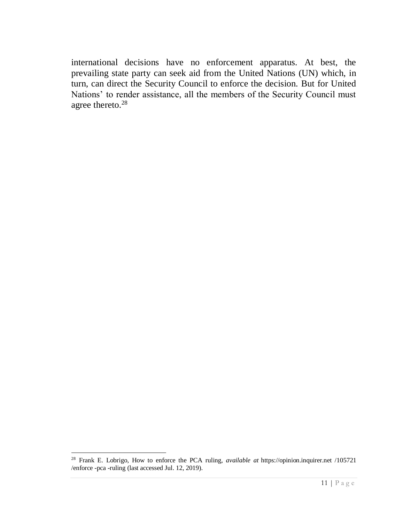international decisions have no enforcement apparatus. At best, the prevailing state party can seek aid from the United Nations (UN) which, in turn, can direct the Security Council to enforce the decision. But for United Nations' to render assistance, all the members of the Security Council must agree thereto.<sup>28</sup>

<sup>28</sup> [Frank E. Lobrigo,](https://opinion.inquirer.net/byline/frank-e-lobrigo) How to enforce the PCA ruling, *available at* https://opinion.inquirer.net /105721 /enforce -pca -ruling (last accessed Jul. 12, 2019).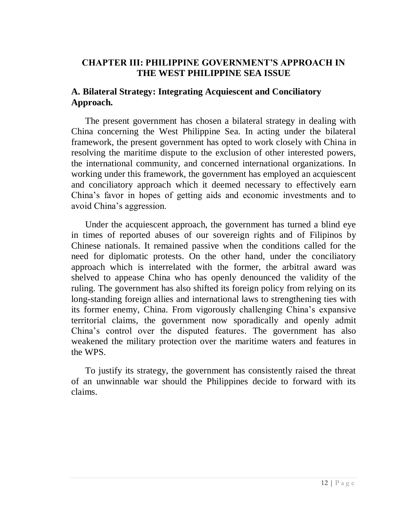# **CHAPTER III: PHILIPPINE GOVERNMENT'S APPROACH IN THE WEST PHILIPPINE SEA ISSUE**

# **A. Bilateral Strategy: Integrating Acquiescent and Conciliatory Approach.**

The present government has chosen a bilateral strategy in dealing with China concerning the West Philippine Sea. In acting under the bilateral framework, the present government has opted to work closely with China in resolving the maritime dispute to the exclusion of other interested powers, the international community, and concerned international organizations. In working under this framework, the government has employed an acquiescent and conciliatory approach which it deemed necessary to effectively earn China's favor in hopes of getting aids and economic investments and to avoid China's aggression.

Under the acquiescent approach, the government has turned a blind eye in times of reported abuses of our sovereign rights and of Filipinos by Chinese nationals. It remained passive when the conditions called for the need for diplomatic protests. On the other hand, under the conciliatory approach which is interrelated with the former, the arbitral award was shelved to appease China who has openly denounced the validity of the ruling. The government has also shifted its foreign policy from relying on its long-standing foreign allies and international laws to strengthening ties with its former enemy, China. From vigorously challenging China's expansive territorial claims, the government now sporadically and openly admit China's control over the disputed features. The government has also weakened the military protection over the maritime waters and features in the WPS.

To justify its strategy, the government has consistently raised the threat of an unwinnable war should the Philippines decide to forward with its claims.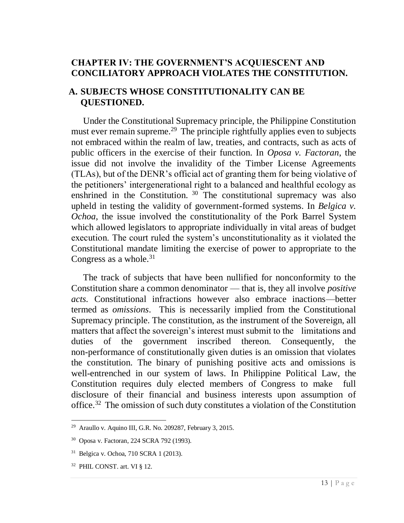# **CHAPTER IV: THE GOVERNMENT'S ACQUIESCENT AND CONCILIATORY APPROACH VIOLATES THE CONSTITUTION.**

# <span id="page-17-0"></span>**A. SUBJECTS WHOSE CONSTITUTIONALITY CAN BE QUESTIONED.**

Under the Constitutional Supremacy principle, the Philippine Constitution must ever remain supreme.<sup>29</sup> The principle rightfully applies even to subjects not embraced within the realm of law, treaties, and contracts, such as acts of public officers in the exercise of their function. In *Oposa v. Factoran*, the issue did not involve the invalidity of the Timber License Agreements (TLAs), but of the DENR's official act of granting them for being violative of the petitioners' intergenerational right to a balanced and healthful ecology as enshrined in the Constitution.  $30$  The constitutional supremacy was also upheld in testing the validity of government-formed systems. In *Belgica v. Ochoa*, the issue involved the constitutionality of the Pork Barrel System which allowed legislators to appropriate individually in vital areas of budget execution. The court ruled the system's unconstitutionality as it violated the Constitutional mandate limiting the exercise of power to appropriate to the Congress as a whole. $31$ 

The track of subjects that have been nullified for nonconformity to the Constitution share a common denominator — that is, they all involve *positive acts.* Constitutional infractions however also embrace inactions—better termed as *omissions*. This is necessarily implied from the Constitutional Supremacy principle. The constitution, as the instrument of the Sovereign, all matters that affect the sovereign's interest must submit to the limitations and duties of the government inscribed thereon. Consequently, the non-performance of constitutionally given duties is an omission that violates the constitution. The binary of punishing positive acts and omissions is well-entrenched in our system of laws. In Philippine Political Law, the Constitution requires duly elected members of Congress to make full disclosure of their financial and business interests upon assumption of office.<sup>32</sup> The omission of such duty constitutes a violation of the Constitution

 $29$  Araullo v. Aquino III, G.R. No. 209287, February 3, 2015.

<sup>30</sup> Oposa v. Factoran, 224 SCRA 792 (1993).

<sup>31</sup> Belgica v. Ochoa, 710 SCRA 1 (2013).

<sup>32</sup> PHIL CONST. art. VI § 12.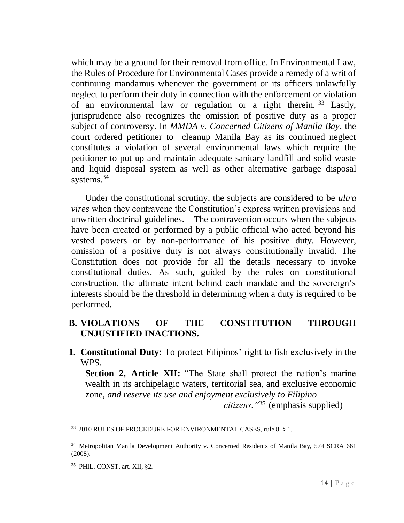which may be a ground for their removal from office. In Environmental Law, the Rules of Procedure for Environmental Cases provide a remedy of a writ of continuing mandamus whenever the government or its officers unlawfully neglect to perform their duty in connection with the enforcement or violation of an environmental law or regulation or a right therein. <sup>33</sup> Lastly, jurisprudence also recognizes the omission of positive duty as a proper subject of controversy. In *MMDA v. Concerned Citizens of Manila Bay*, the court ordered petitioner to cleanup Manila Bay as its continued neglect constitutes a violation of several environmental laws which require the petitioner to put up and maintain adequate sanitary landfill and solid waste and liquid disposal system as well as other alternative garbage disposal systems.<sup>34</sup>

Under the constitutional scrutiny, the subjects are considered to be *ultra vires* when they contravene the Constitution's express written provisions and unwritten doctrinal guidelines. The contravention occurs when the subjects have been created or performed by a public official who acted beyond his vested powers or by non-performance of his positive duty. However, omission of a positive duty is not always constitutionally invalid. The Constitution does not provide for all the details necessary to invoke constitutional duties. As such, guided by the rules on constitutional construction, the ultimate intent behind each mandate and the sovereign's interests should be the threshold in determining when a duty is required to be performed.

# <span id="page-18-0"></span>**B. VIOLATIONS OF THE CONSTITUTION THROUGH UNJUSTIFIED INACTIONS.**

<span id="page-18-1"></span>**1. Constitutional Duty:** To protect Filipinos' right to fish exclusively in the WPS.

**Section 2, Article XII:** "The State shall protect the nation's marine wealth in its archipelagic waters, territorial sea, and exclusive economic zone, *and reserve its use and enjoyment exclusively to Filipino* 

*citizens."<sup>35</sup>* (emphasis supplied)

<sup>&</sup>lt;sup>33</sup> 2010 RULES OF PROCEDURE FOR ENVIRONMENTAL CASES, rule 8, § 1.

<sup>&</sup>lt;sup>34</sup> Metropolitan Manila Development Authority v. Concerned Residents of Manila Bay, 574 SCRA 661 (2008).

<sup>35</sup> PHIL. CONST. art. XII, §2.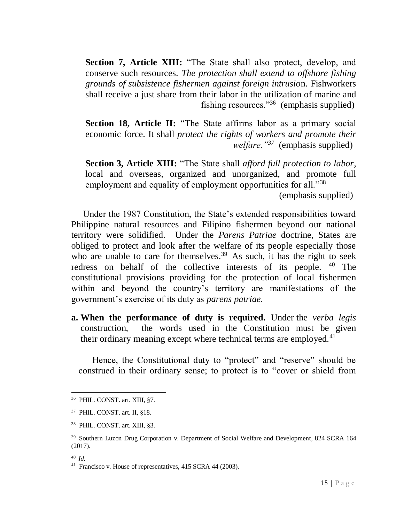**Section 7, Article XIII:** "The State shall also protect, develop, and conserve such resources. *The protection shall extend to offshore fishing grounds of subsistence fishermen against foreign intrusio*n. Fishworkers shall receive a just share from their labor in the utilization of marine and fishing resources." $36$  (emphasis supplied)

**Section 18, Article II:** "The State affirms labor as a primary social economic force. It shall *protect the rights of workers and promote their welfare."<sup>37</sup>* (emphasis supplied)

**Section 3, Article XIII:** "The State shall *afford full protection to labor*, local and overseas, organized and unorganized, and promote full employment and equality of employment opportunities for all."<sup>38</sup>

(emphasis supplied)

Under the 1987 Constitution, the State's extended responsibilities toward Philippine natural resources and Filipino fishermen beyond our national territory were solidified. Under the *Parens Patriae* doctrine*,* States are obliged to protect and look after the welfare of its people especially those who are unable to care for themselves.<sup>39</sup> As such, it has the right to seek redress on behalf of the collective interests of its people. <sup>40</sup> The constitutional provisions providing for the protection of local fishermen within and beyond the country's territory are manifestations of the government's exercise of its duty as *parens patriae.*

**a. When the performance of duty is required.** Under the *verba legis* construction, the words used in the Constitution must be given their ordinary meaning except where technical terms are employed.<sup>41</sup>

Hence, the Constitutional duty to "protect" and "reserve" should be construed in their ordinary sense; to protect is to "cover or shield from

<sup>36</sup> PHIL. CONST. art. XIII, §7.

<sup>37</sup> PHIL. CONST. art. II, §18.

<sup>38</sup> PHIL. CONST. art. XIII, §3.

<sup>&</sup>lt;sup>39</sup> Southern Luzon Drug Corporation v. Department of Social Welfare and Development, 824 SCRA 164 (2017).

<sup>40</sup> *Id.*

<sup>41</sup> Francisco v. House of representatives, 415 SCRA 44 (2003).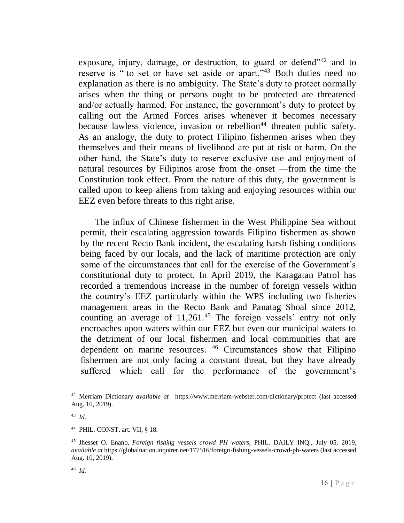exposure, injury, damage, or destruction, to guard or defend<sup>142</sup> and to reserve is " to set or have set aside or apart."<sup>43</sup> Both duties need no explanation as there is no ambiguity. The State's duty to protect normally arises when the thing or persons ought to be protected are threatened and/or actually harmed. For instance, the government's duty to protect by calling out the Armed Forces arises whenever it becomes necessary because lawless violence, invasion or rebellion<sup>44</sup> threaten public safety. As an analogy, the duty to protect Filipino fishermen arises when they themselves and their means of livelihood are put at risk or harm. On the other hand, the State's duty to reserve exclusive use and enjoyment of natural resources by Filipinos arose from the onset —from the time the Constitution took effect. From the nature of this duty, the government is called upon to keep aliens from taking and enjoying resources within our EEZ even before threats to this right arise.

The influx of Chinese fishermen in the West Philippine Sea without permit, their escalating aggression towards Filipino fishermen as shown by the recent Recto Bank incident**,** the escalating harsh fishing conditions being faced by our locals, and the lack of maritime protection are only some of the circumstances that call for the exercise of the Government's constitutional duty to protect. In April 2019, the Karagatan Patrol has recorded a tremendous increase in the number of foreign vessels within the country's EEZ particularly within the WPS including two fisheries management areas in the Recto Bank and Panatag Shoal since 2012, counting an average of  $11,261$ .<sup>45</sup> The foreign vessels' entry not only encroaches upon waters within our EEZ but even our municipal waters to the detriment of our local fishermen and local communities that are dependent on marine resources. <sup>46</sup> Circumstances show that Filipino fishermen are not only facing a constant threat, but they have already suffered which call for the performance of the government's

<sup>42</sup> Merriam Dictionary *available at* <https://www.merriam-webster.com/dictionary/protect> (last accessed Aug. 10, 2019).

<sup>43</sup> *Id.*

<sup>44</sup> PHIL. CONST. art. VII, § 18.

<sup>45</sup> [Jhesset O. Enano,](https://globalnation.inquirer.net/byline/jhesset-o-enano) *Foreign fishing vessels crowd PH waters*, PHIL. DAILY INQ., July 05, 2019, *available at* https://globalnation.inquirer.net/177516/foreign-fishing-vessels-crowd-ph-waters (last accessed Aug. 10, 2019).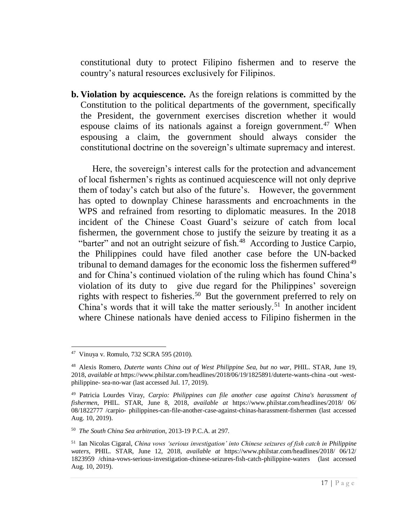constitutional duty to protect Filipino fishermen and to reserve the country's natural resources exclusively for Filipinos.

**b. Violation by acquiescence.** As the foreign relations is committed by the Constitution to the political departments of the government, specifically the President, the government exercises discretion whether it would espouse claims of its nationals against a foreign government.<sup>47</sup> When espousing a claim, the government should always consider the constitutional doctrine on the sovereign's ultimate supremacy and interest.

Here, the sovereign's interest calls for the protection and advancement of local fishermen's rights as continued acquiescence will not only deprive them of today's catch but also of the future's. However, the government has opted to downplay Chinese harassments and encroachments in the WPS and refrained from resorting to diplomatic measures. In the 2018 incident of the Chinese Coast Guard's seizure of catch from local fishermen, the government chose to justify the seizure by treating it as a "barter" and not an outright seizure of fish.<sup>48</sup> According to Justice Carpio, the Philippines could have filed another case before the UN-backed tribunal to demand damages for the economic loss the fishermen suffered<sup>49</sup> and for China's continued violation of the ruling which has found China's violation of its duty to give due regard for the Philippines' sovereign rights with respect to fisheries.<sup>50</sup> But the government preferred to rely on China's words that it will take the matter seriously.<sup>51</sup> In another incident where Chinese nationals have denied access to Filipino fishermen in the

 $\overline{a}$ <sup>47</sup> Vinuya v. Romulo, 732 SCRA 595 (2010).

<sup>&</sup>lt;sup>48</sup> [Alexis Romero,](https://www.philstar.com/authors/1805309/alexis-romero) *Duterte wants China out of West Philippine Sea, but no war, PHIL. STAR, June 19,* 2018, *available at* https://www.philstar.com/headlines/2018/06/19/1825891/duterte-wants-china -out -westphilippine- sea-no-war (last accessed Jul. 17, 2019).

<sup>49</sup> [Patricia Lourdes Viray,](https://www.philstar.com/authors/1645031/patricia-lourdes-viray) *Carpio: Philippines can file another case against China's harassment of fishermen*, PHIL. STAR, June 8, 2018, *available at* <https://www.philstar.com/headlines/2018/> 06/ 08/1822777 /carpio- philippines-can-file-another-case-against-chinas-harassment-fishermen (last accessed Aug. 10, 2019).

<sup>50</sup> *The South China Sea arbitration*, 2013-19 P.C.A. at 297.

<sup>51</sup> [Ian Nicolas Cigaral,](https://www.philstar.com/authors/1805247/ian-nicolas-cigaral) *China vows 'serious investigation' into Chinese seizures of fish catch in Philippine waters*, PHIL. STAR, June 12, 2018, *available at* <https://www.philstar.com/headlines/2018/> 06/12/ 1823959 /china-vows-serious-investigation-chinese-seizures-fish-catch-philippine-waters (last accessed Aug. 10, 2019).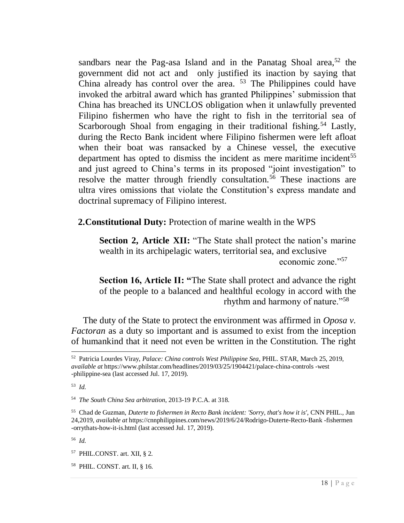sandbars near the Pag-asa Island and in the Panatag Shoal area,  $52$  the government did not act and only justified its inaction by saying that China already has control over the area. <sup>53</sup> The Philippines could have invoked the arbitral award which has granted Philippines' submission that China has breached its UNCLOS obligation when it unlawfully prevented Filipino fishermen who have the right to fish in the territorial sea of Scarborough Shoal from engaging in their traditional fishing.<sup>54</sup> Lastly, during the Recto Bank incident where Filipino fishermen were left afloat when their boat was ransacked by a Chinese vessel, the executive department has opted to dismiss the incident as mere maritime incident<sup>55</sup> and just agreed to China's terms in its proposed "joint investigation" to resolve the matter through friendly consultation.<sup>56</sup> These inactions are ultra vires omissions that violate the Constitution's express mandate and doctrinal supremacy of Filipino interest.

<span id="page-22-0"></span>**2.Constitutional Duty:** Protection of marine wealth in the WPS

**Section 2, Article XII:** "The State shall protect the nation's marine wealth in its archipelagic waters, territorial sea, and exclusive economic zone."57

**Section 16, Article II: "**The State shall protect and advance the right of the people to a balanced and healthful ecology in accord with the rhythm and harmony of nature."<sup>58</sup>

The duty of the State to protect the environment was affirmed in *Oposa v. Factoran* as a duty so important and is assumed to exist from the inception of humankind that it need not even be written in the Constitution. The right

<sup>53</sup> *Id.*

 $\overline{a}$ 

<sup>56</sup> *Id.*

<sup>58</sup> PHIL. CONST. art. II, § 16.

<sup>52</sup> Patricia Lourdes Viray, *Palace: China controls West Philippine Sea*, PHIL. STAR*,* March 25, 2019, *available at* https://www.philstar.com/headlines/2019/03/25/1904421/palace-china-controls -west -philippine-sea (last accessed Jul. 17, 2019).

<sup>54</sup> *The South China Sea arbitration*, 2013-19 P.C.A. at 318.

<sup>55</sup> Chad de Guzman, *Duterte to fishermen in Recto Bank incident: 'Sorry, that's how it is'*, CNN PHIL., Jun 24,2019, *available at* https://cnnphilippines.com/news/2019/6/24/Rodrigo-Duterte-Recto-Bank -fishermen -orrythats-how-it-is.html (last accessed Jul. 17, 2019).

<sup>57</sup> PHIL.CONST. art. XII, § 2.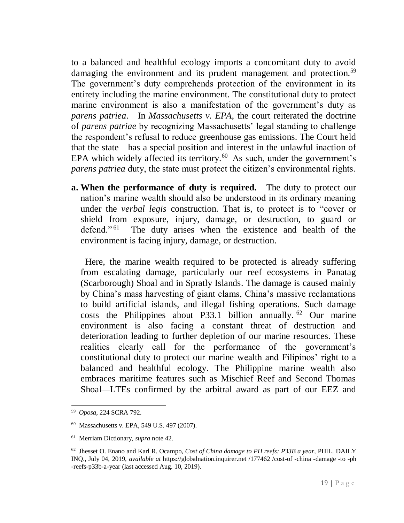to a balanced and healthful ecology imports a concomitant duty to avoid damaging the environment and its prudent management and protection.<sup>59</sup> The government's duty comprehends protection of the environment in its entirety including the marine environment. The constitutional duty to protect marine environment is also a manifestation of the government's duty as *parens patriea*. In *Massachusetts v. EPA*, the court reiterated the doctrine of *parens patriae* by recognizing Massachusetts' legal standing to challenge the respondent's refusal to reduce greenhouse gas emissions. The Court held that the state has a special position and interest in the unlawful inaction of EPA which widely affected its territory.<sup>60</sup> As such, under the government's *parens patriea* duty, the state must protect the citizen's environmental rights.

**a. When the performance of duty is required.** The duty to protect our nation's marine wealth should also be understood in its ordinary meaning under the *verbal legis* construction*.* That is, to protect is to "cover or shield from exposure, injury, damage, or destruction, to guard or defend."<sup>61</sup> The duty arises when the existence and health of the environment is facing injury, damage, or destruction.

Here, the marine wealth required to be protected is already suffering from escalating damage, particularly our reef ecosystems in Panatag (Scarborough) Shoal and in Spratly Islands. The damage is caused mainly by China's mass harvesting of giant clams, China's massive reclamations to build artificial islands, and illegal fishing operations. Such damage costs the Philippines about P33.1 billion annually. <sup>62</sup> Our marine environment is also facing a constant threat of destruction and deterioration leading to further depletion of our marine resources. These realities clearly call for the performance of the government's constitutional duty to protect our marine wealth and Filipinos' right to a balanced and healthful ecology. The Philippine marine wealth also embraces maritime features such as Mischief Reef and Second Thomas Shoal*—*LTEs confirmed by the arbitral award as part of our EEZ and

<sup>59</sup> *Oposa*, 224 SCRA 792.

<sup>60</sup> Massachusetts v. EPA, 549 U.S. 497 (2007).

<sup>61</sup> Merriam Dictionary, *supra* note 42.

<sup>62</sup> [Jhesset O. Enano](https://globalnation.inquirer.net/byline/jhesset-o-enano) an[d Karl R. Ocampo,](https://globalnation.inquirer.net/byline/karl-r-ocampo) *Cost of China damage to PH reefs: P33B a year,* PHIL. DAILY INQ., July 04, 2019, *available at* https://globalnation.inquirer.net /177462 /cost-of -china -damage -to -ph -reefs-p33b-a-year (last accessed Aug. 10, 2019).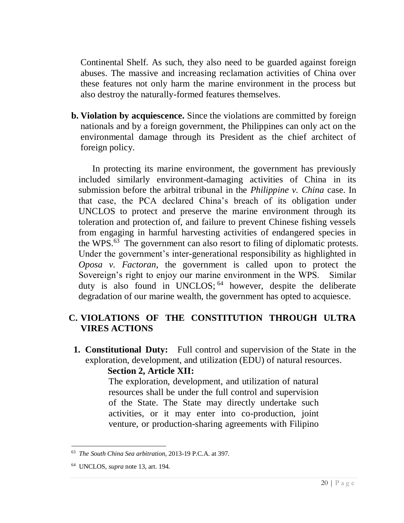Continental Shelf. As such, they also need to be guarded against foreign abuses. The massive and increasing reclamation activities of China over these features not only harm the marine environment in the process but also destroy the naturally-formed features themselves.

**b. Violation by acquiescence.** Since the violations are committed by foreign nationals and by a foreign government, the Philippines can only act on the environmental damage through its President as the chief architect of foreign policy.

In protecting its marine environment, the government has previously included similarly environment-damaging activities of China in its submission before the arbitral tribunal in the *Philippine v. China* case. In that case, the PCA declared China's breach of its obligation under UNCLOS to protect and preserve the marine environment through its toleration and protection of, and failure to prevent Chinese fishing vessels from engaging in harmful harvesting activities of endangered species in the WPS.<sup>63</sup> The government can also resort to filing of diplomatic protests. Under the government's inter-generational responsibility as highlighted in *Oposa v. Factoran*, the government is called upon to protect the Sovereign's right to enjoy our marine environment in the WPS. Similar duty is also found in UNCLOS; <sup>64</sup> however, despite the deliberate degradation of our marine wealth, the government has opted to acquiesce.

# <span id="page-24-0"></span>**C. VIOLATIONS OF THE CONSTITUTION THROUGH ULTRA VIRES ACTIONS**

<span id="page-24-1"></span>**1. Constitutional Duty:** Full control and supervision of the State in the exploration, development, and utilization (EDU) of natural resources.

#### **Section 2, Article XII:**

The exploration, development, and utilization of natural resources shall be under the full control and supervision of the State. The State may directly undertake such activities, or it may enter into co-production, joint venture, or production-sharing agreements with Filipino

<sup>63</sup> *The South China Sea arbitration*, 2013-19 P.C.A. at 397.

<sup>64</sup> UNCLOS, *supra* note 13, art. 194.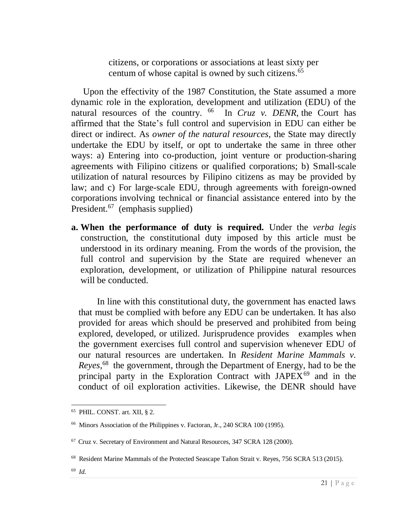citizens, or corporations or associations at least sixty per centum of whose capital is owned by such citizens.<sup>65</sup>

Upon the effectivity of the 1987 Constitution, the State assumed a more dynamic role in the exploration, development and utilization (EDU) of the natural resources of the country. <sup>66</sup> In *Cruz v. DENR*, the Court has affirmed that the State's full control and supervision in EDU can either be direct or indirect. As *owner of the natural resources*, the State may directly undertake the EDU by itself, or opt to undertake the same in three other ways: a) Entering into co-production, joint venture or production-sharing agreements with Filipino citizens or qualified corporations; b) Small-scale utilization of natural resources by Filipino citizens as may be provided by law; and c) For large-scale EDU, through agreements with foreign-owned corporations involving technical or financial assistance entered into by the President.<sup>67</sup> (emphasis supplied)

**a. When the performance of duty is required.** Under the *verba legis* construction, the constitutional duty imposed by this article must be understood in its ordinary meaning. From the words of the provision, the full control and supervision by the State are required whenever an exploration, development, or utilization of Philippine natural resources will be conducted.

In line with this constitutional duty, the government has enacted laws that must be complied with before any EDU can be undertaken. It has also provided for areas which should be preserved and prohibited from being explored, developed, or utilized. Jurisprudence provides examples when the government exercises full control and supervision whenever EDU of our natural resources are undertaken. In *Resident Marine Mammals v. Reyes,* <sup>68</sup> the government, through the Department of Energy, had to be the principal party in the Exploration Contract with JAPEX<sup>69</sup> and in the conduct of oil exploration activities. Likewise, the DENR should have

<sup>65</sup> PHIL. CONST. art. XII, § 2.

<sup>&</sup>lt;sup>66</sup> Minors Association of the Philippines v. Factoran, Jr., 240 SCRA 100 (1995).

<sup>67</sup> Cruz v. Secretary of Environment and Natural Resources, 347 SCRA 128 (2000).

<sup>&</sup>lt;sup>68</sup> Resident Marine Mammals of the Protected Seascape Tañon Strait v. Reyes, 756 SCRA 513 (2015).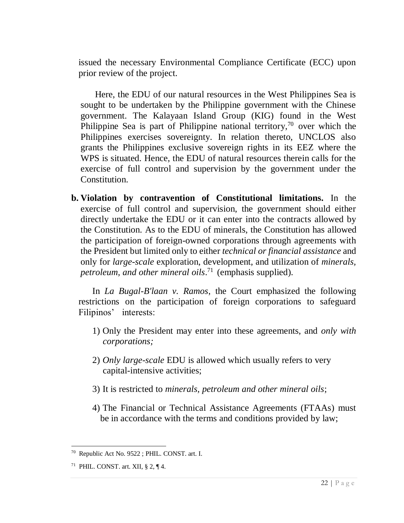issued the necessary Environmental Compliance Certificate (ECC) upon prior review of the project.

Here, the EDU of our natural resources in the West Philippines Sea is sought to be undertaken by the Philippine government with the Chinese government. The Kalayaan Island Group (KIG) found in the West Philippine Sea is part of Philippine national territory, $70$  over which the Philippines exercises sovereignty. In relation thereto, UNCLOS also grants the Philippines exclusive sovereign rights in its EEZ where the WPS is situated. Hence, the EDU of natural resources therein calls for the exercise of full control and supervision by the government under the Constitution.

**b. Violation by contravention of Constitutional limitations.** In the exercise of full control and supervision, the government should either directly undertake the EDU or it can enter into the contracts allowed by the Constitution. As to the EDU of minerals, the Constitution has allowed the participation of foreign-owned corporations through agreements with the President but limited only to either *technical or financial assistance* and only for *large-scale* exploration, development, and utilization of *minerals, petroleum, and other mineral oils*. <sup>71</sup> (emphasis supplied).

In *La Bugal-B'laan v. Ramos*, the Court emphasized the following restrictions on the participation of foreign corporations to safeguard Filipinos' interests:

- 1) Only the President may enter into these agreements, and *only with corporations;*
- 2) *Only large-scale* EDU is allowed which usually refers to very capital-intensive activities;
- 3) It is restricted to *minerals, petroleum and other mineral oils*;
- 4) The Financial or Technical Assistance Agreements (FTAAs) must be in accordance with the terms and conditions provided by law;

 $\overline{a}$ <sup>70</sup> Republic Act No. 9522 ; PHIL. CONST. art. I.

<sup>&</sup>lt;sup>71</sup> PHIL. CONST. art. XII, § 2, ¶ 4.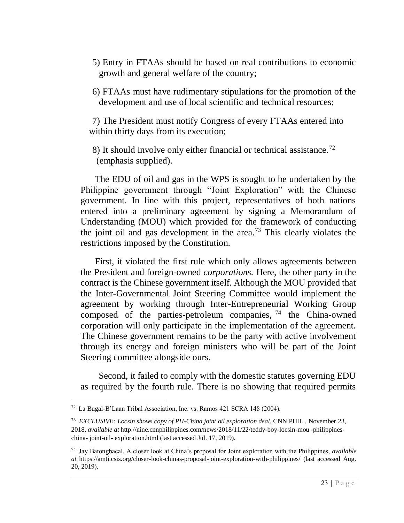- 5) Entry in FTAAs should be based on real contributions to economic growth and general welfare of the country;
- 6) FTAAs must have rudimentary stipulations for the promotion of the development and use of local scientific and technical resources;

7) The President must notify Congress of every FTAAs entered into within thirty days from its execution;

8) It should involve only either financial or technical assistance.<sup>72</sup> (emphasis supplied).

The EDU of oil and gas in the WPS is sought to be undertaken by the Philippine government through "Joint Exploration" with the Chinese government. In line with this project, representatives of both nations entered into a preliminary agreement by signing a Memorandum of Understanding (MOU) which provided for the framework of conducting the joint oil and gas development in the area.<sup>73</sup> This clearly violates the restrictions imposed by the Constitution.

First, it violated the first rule which only allows agreements between the President and foreign-owned *corporations.* Here, the other party in the contract is the Chinese government itself. Although the MOU provided that the Inter-Governmental Joint Steering Committee would implement the agreement by working through Inter-Entrepreneurial Working Group composed of the parties-petroleum companies,  $74$  the China-owned corporation will only participate in the implementation of the agreement. The Chinese government remains to be the party with active involvement through its energy and foreign ministers who will be part of the Joint Steering committee alongside ours.

Second, it failed to comply with the domestic statutes governing EDU as required by the fourth rule. There is no showing that required permits

 $72$  La Bugal-B'Laan Tribal Association, Inc. vs. Ramos 421 SCRA 148 (2004).

<sup>73</sup> *EXCLUSIVE: Locsin shows copy of PH-China joint oil exploration deal*, CNN PHIL., November 23, 2018, *available at* http://nine.cnnphilippines.com/news/2018/11/22/teddy-boy-locsin-mou -philippineschina- joint-oil- exploration.html (last accessed Jul. 17, 2019).

<sup>74</sup> Jay Batongbacal, A closer look at China's proposal for Joint exploration with the Philippines, *available at* https://amti.csis.org/closer-look-chinas-proposal-joint-exploration-with-philippines/ (last accessed Aug. 20, 2019).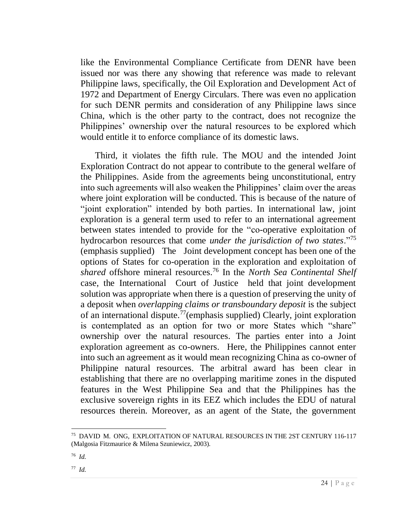like the Environmental Compliance Certificate from DENR have been issued nor was there any showing that reference was made to relevant Philippine laws, specifically, the Oil Exploration and Development Act of 1972 and Department of Energy Circulars. There was even no application for such DENR permits and consideration of any Philippine laws since China, which is the other party to the contract, does not recognize the Philippines' ownership over the natural resources to be explored which would entitle it to enforce compliance of its domestic laws.

Third, it violates the fifth rule. The MOU and the intended Joint Exploration Contract do not appear to contribute to the general welfare of the Philippines. Aside from the agreements being unconstitutional, entry into such agreements will also weaken the Philippines' claim over the areas where joint exploration will be conducted. This is because of the nature of "joint exploration" intended by both parties. In international law, joint exploration is a general term used to refer to an international agreement between states intended to provide for the "co-operative exploitation of hydrocarbon resources that come *under the jurisdiction of two states*."<sup>75</sup> (emphasis supplied) The Joint development concept has been one of the options of States for co-operation in the exploration and exploitation of *shared* offshore mineral resources.<sup>76</sup> In the *North Sea Continental Shelf*  case, the International Court of Justice held that joint development solution was appropriate when there is a question of preserving the unity of a deposit when *overlapping claims or transboundary deposit* is the subject of an international dispute.<sup>77</sup>(emphasis supplied) Clearly, joint exploration is contemplated as an option for two or more States which "share" ownership over the natural resources. The parties enter into a Joint exploration agreement as co-owners. Here, the Philippines cannot enter into such an agreement as it would mean recognizing China as co-owner of Philippine natural resources. The arbitral award has been clear in establishing that there are no overlapping maritime zones in the disputed features in the West Philippine Sea and that the Philippines has the exclusive sovereign rights in its EEZ which includes the EDU of natural resources therein. Moreover, as an agent of the State, the government

<sup>75</sup> DAVID M. ONG, EXPLOITATION OF NATURAL RESOURCES IN THE 2ST CENTURY 116-117 (Malgosia Fitzmaurice & Milena Szuniewicz, 2003).

<sup>76</sup> *Id.*

<sup>77</sup> *Id.*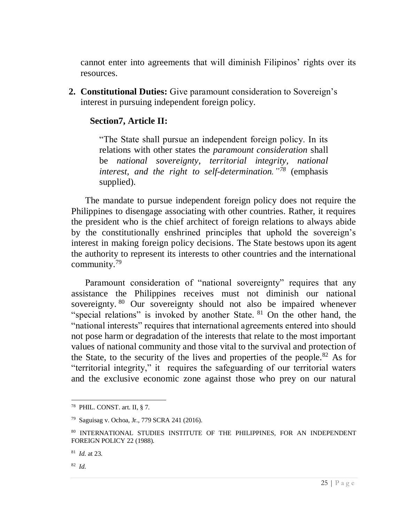cannot enter into agreements that will diminish Filipinos' rights over its resources.

<span id="page-29-0"></span>**2. Constitutional Duties:** Give paramount consideration to Sovereign's interest in pursuing independent foreign policy.

# **Section7, Article II:**

"The State shall pursue an independent foreign policy. In its relations with other states the *paramount consideration* shall be *national sovereignty, territorial integrity, national interest, and the right to self-determination."<sup>78</sup>* (emphasis supplied).

The mandate to pursue independent foreign policy does not require the Philippines to disengage associating with other countries. Rather, it requires the president who is the chief architect of foreign relations to always abide by the constitutionally enshrined principles that uphold the sovereign's interest in making foreign policy decisions. The State bestows upon its agent the authority to represent its interests to other countries and the international community.<sup>79</sup>

Paramount consideration of "national sovereignty" requires that any assistance the Philippines receives must not diminish our national sovereignty. <sup>80</sup> Our sovereignty should not also be impaired whenever "special relations" is invoked by another State. <sup>81</sup> On the other hand, the "national interests" requires that international agreements entered into should not pose harm or degradation of the interests that relate to the most important values of national community and those vital to the survival and protection of the State, to the security of the lives and properties of the people.<sup>82</sup> As for "territorial integrity," it requires the safeguarding of our territorial waters and the exclusive economic zone against those who prey on our natural

<sup>78</sup> PHIL. CONST. art. II, § 7.

<sup>79</sup> Saguisag v. Ochoa, Jr., 779 SCRA 241 (2016).

<sup>80</sup> INTERNATIONAL STUDIES INSTITUTE OF THE PHILIPPINES, FOR AN INDEPENDENT FOREIGN POLICY 22 (1988).

<sup>81</sup> *Id.* at 23.

<sup>82</sup> *Id.*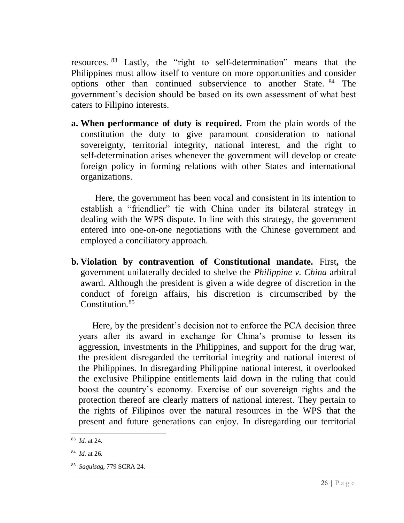resources. <sup>83</sup> Lastly, the "right to self-determination" means that the Philippines must allow itself to venture on more opportunities and consider options other than continued subservience to another State. <sup>84</sup> The government's decision should be based on its own assessment of what best caters to Filipino interests.

**a. When performance of duty is required.** From the plain words of the constitution the duty to give paramount consideration to national sovereignty, territorial integrity, national interest, and the right to self-determination arises whenever the government will develop or create foreign policy in forming relations with other States and international organizations.

Here, the government has been vocal and consistent in its intention to establish a "friendlier" tie with China under its bilateral strategy in dealing with the WPS dispute. In line with this strategy, the government entered into one-on-one negotiations with the Chinese government and employed a conciliatory approach.

**b. Violation by contravention of Constitutional mandate.** First**,** the government unilaterally decided to shelve the *Philippine v. China* arbitral award. Although the president is given a wide degree of discretion in the conduct of foreign affairs, his discretion is circumscribed by the Constitution.<sup>85</sup>

Here, by the president's decision not to enforce the PCA decision three years after its award in exchange for China's promise to lessen its aggression, investments in the Philippines, and support for the drug war, the president disregarded the territorial integrity and national interest of the Philippines. In disregarding Philippine national interest, it overlooked the exclusive Philippine entitlements laid down in the ruling that could boost the country's economy. Exercise of our sovereign rights and the protection thereof are clearly matters of national interest. They pertain to the rights of Filipinos over the natural resources in the WPS that the present and future generations can enjoy. In disregarding our territorial

 $\overline{a}$ <sup>83</sup> *Id.* at 24.

<sup>84</sup> *Id.* at 26.

<sup>85</sup> *Saguisag*, 779 SCRA 24.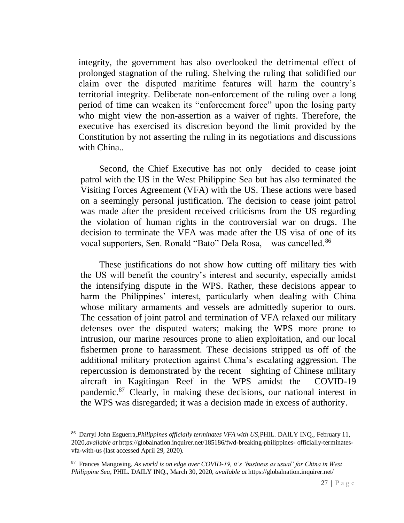integrity, the government has also overlooked the detrimental effect of prolonged stagnation of the ruling. Shelving the ruling that solidified our claim over the disputed maritime features will harm the country's territorial integrity. Deliberate non-enforcement of the ruling over a long period of time can weaken its "enforcement force" upon the losing party who might view the non-assertion as a waiver of rights. Therefore, the executive has exercised its discretion beyond the limit provided by the Constitution by not asserting the ruling in its negotiations and discussions with China..

Second, the Chief Executive has not only decided to cease joint patrol with the US in the West Philippine Sea but has also terminated the Visiting Forces Agreement (VFA) with the US. These actions were based on a seemingly personal justification. The decision to cease joint patrol was made after the president received criticisms from the US regarding the violation of human rights in the controversial war on drugs. The decision to terminate the VFA was made after the US visa of one of its vocal supporters, Sen. Ronald "Bato" Dela Rosa, was cancelled.<sup>86</sup>

These justifications do not show how cutting off military ties with the US will benefit the country's interest and security, especially amidst the intensifying dispute in the WPS. Rather, these decisions appear to harm the Philippines' interest, particularly when dealing with China whose military armaments and vessels are admittedly superior to ours. The cessation of joint patrol and termination of VFA relaxed our military defenses over the disputed waters; making the WPS more prone to intrusion, our marine resources prone to alien exploitation, and our local fishermen prone to harassment. These decisions stripped us off of the additional military protection against China's escalating aggression. The repercussion is demonstrated by the recent sighting of Chinese military aircraft in Kagitingan Reef in the WPS amidst the COVID-19 pandemic.<sup>87</sup> Clearly, in making these decisions, our national interest in the WPS was disregarded; it was a decision made in excess of authority.

<sup>86</sup> Darryl John Esguerra,*Philippines officially terminates VFA with US,*PHIL. DAILY INQ., February 11, 2020,*available at* [https://globalnation.inquirer.net/185186/fwd-breaking-philippines-](https://globalnation.inquirer.net/185186/fwd-breaking-philippines-officially-terminates-vfa-with-us) officially-terminates[vfa-with-us](https://globalnation.inquirer.net/185186/fwd-breaking-philippines-officially-terminates-vfa-with-us) (last accessed April 29, 2020).

<sup>87</sup> Frances Mangosing, *As world is on edge over COVID-19, it's 'business as usual' for China in West Philippine Sea*, PHIL. DAILY INQ., March 30, 2020, *available at* [https://globalnation.inquirer.net/](https://globalnation.inquirer.net/186412/as-world-is-on-edge-over-covid-19-its-business-as-usual-for-china-in-west-philippine-sea#ixzz6KtjO8lSX)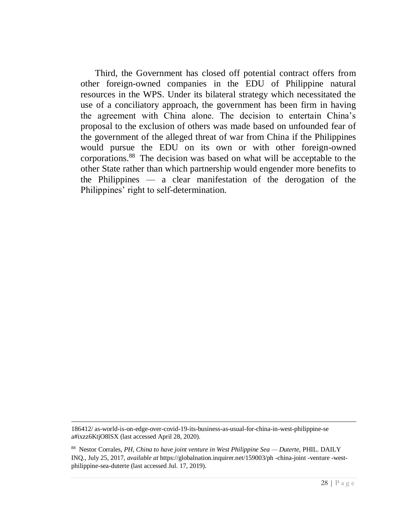Third, the Government has closed off potential contract offers from other foreign-owned companies in the EDU of Philippine natural resources in the WPS. Under its bilateral strategy which necessitated the use of a conciliatory approach, the government has been firm in having the agreement with China alone. The decision to entertain China's proposal to the exclusion of others was made based on unfounded fear of the government of the alleged threat of war from China if the Philippines would pursue the EDU on its own or with other foreign-owned corporations.<sup>88</sup> The decision was based on what will be acceptable to the other State rather than which partnership would engender more benefits to the Philippines — a clear manifestation of the derogation of the Philippines' right to self-determination.

<sup>186412/</sup> [as-world-is-on-edge-over-covid-19-its-business-as-usual-for-china-in-west-philippine-se](https://globalnation.inquirer.net/186412/as-world-is-on-edge-over-covid-19-its-business-as-usual-for-china-in-west-philippine-sea#ixzz6KtjO8lSX) [a#ixzz6KtjO8lSX](https://globalnation.inquirer.net/186412/as-world-is-on-edge-over-covid-19-its-business-as-usual-for-china-in-west-philippine-sea#ixzz6KtjO8lSX) (last accessed April 28, 2020).

<sup>88</sup> [Nestor Corrales,](https://globalnation.inquirer.net/byline/nestor-corrales) *PH, China to have joint venture in West Philippine Sea — Duterte,* PHIL. DAILY INQ., July 25, 2017, *available at* https://globalnation.inquirer.net/159003/ph -china-joint -venture -westphilippine-sea-duterte (last accessed Jul. 17, 2019).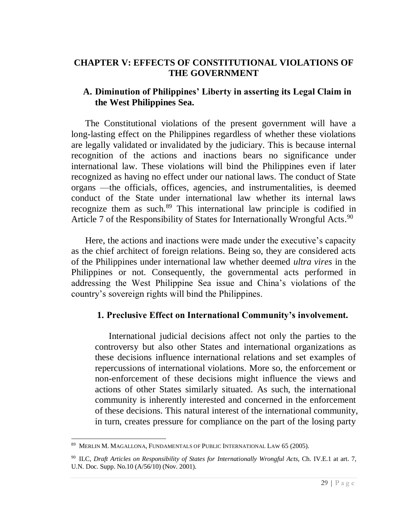# **CHAPTER V: EFFECTS OF CONSTITUTIONAL VIOLATIONS OF THE GOVERNMENT**

# **A. Diminution of Philippines' Liberty in asserting its Legal Claim in the West Philippines Sea.**

The Constitutional violations of the present government will have a long-lasting effect on the Philippines regardless of whether these violations are legally validated or invalidated by the judiciary. This is because internal recognition of the actions and inactions bears no significance under international law. These violations will bind the Philippines even if later recognized as having no effect under our national laws. The conduct of State organs —the officials, offices, agencies, and instrumentalities, is deemed conduct of the State under international law whether its internal laws recognize them as such.<sup>89</sup> This international law principle is codified in Article 7 of the Responsibility of States for Internationally Wrongful Acts.<sup>90</sup>

Here, the actions and inactions were made under the executive's capacity as the chief architect of foreign relations. Being so, they are considered acts of the Philippines under international law whether deemed *ultra vires* in the Philippines or not. Consequently, the governmental acts performed in addressing the West Philippine Sea issue and China's violations of the country's sovereign rights will bind the Philippines.

# <span id="page-33-0"></span>**1. Preclusive Effect on International Community's involvement.**

International judicial decisions affect not only the parties to the controversy but also other States and international organizations as these decisions influence international relations and set examples of repercussions of international violations. More so, the enforcement or non-enforcement of these decisions might influence the views and actions of other States similarly situated. As such, the international community is inherently interested and concerned in the enforcement of these decisions. This natural interest of the international community, in turn, creates pressure for compliance on the part of the losing party

 $\overline{a}$ 89 MERLIN M. MAGALLONA, FUNDAMENTALS OF PUBLIC INTERNATIONAL LAW 65 (2005).

<sup>90</sup> ILC, *Draft Articles on Responsibility of States for Internationally Wrongful Acts*, Ch. IV.E.1 at art. 7, U.N. Doc. Supp. No.10 (A/56/10) (Nov. 2001).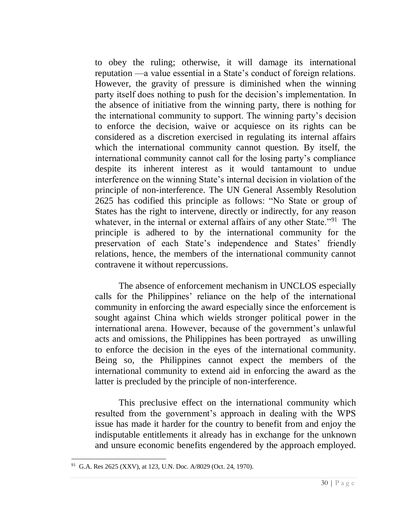to obey the ruling; otherwise, it will damage its international reputation —a value essential in a State's conduct of foreign relations. However, the gravity of pressure is diminished when the winning party itself does nothing to push for the decision's implementation. In the absence of initiative from the winning party, there is nothing for the international community to support. The winning party's decision to enforce the decision, waive or acquiesce on its rights can be considered as a discretion exercised in regulating its internal affairs which the international community cannot question. By itself, the international community cannot call for the losing party's compliance despite its inherent interest as it would tantamount to undue interference on the winning State's internal decision in violation of the principle of non-interference. The UN General Assembly Resolution 2625 has codified this principle as follows: "No State or group of States has the right to intervene, directly or indirectly, for any reason whatever, in the internal or external affairs of any other State."<sup>91</sup> The principle is adhered to by the international community for the preservation of each State's independence and States' friendly relations, hence, the members of the international community cannot contravene it without repercussions.

The absence of enforcement mechanism in UNCLOS especially calls for the Philippines' reliance on the help of the international community in enforcing the award especially since the enforcement is sought against China which wields stronger political power in the international arena. However, because of the government's unlawful acts and omissions, the Philippines has been portrayed as unwilling to enforce the decision in the eyes of the international community. Being so, the Philippines cannot expect the members of the international community to extend aid in enforcing the award as the latter is precluded by the principle of non-interference.

This preclusive effect on the international community which resulted from the government's approach in dealing with the WPS issue has made it harder for the country to benefit from and enjoy the indisputable entitlements it already has in exchange for the unknown and unsure economic benefits engendered by the approach employed.

<sup>91</sup> G.A. Res 2625 (XXV), at 123, U.N. Doc. A/8029 (Oct. 24, 1970).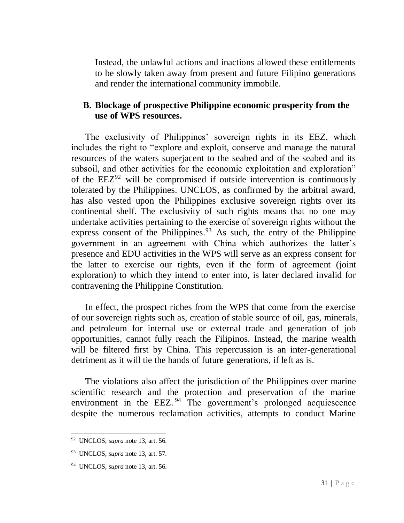Instead, the unlawful actions and inactions allowed these entitlements to be slowly taken away from present and future Filipino generations and render the international community immobile.

# **B. Blockage of prospective Philippine economic prosperity from the use of WPS resources.**

The exclusivity of Philippines' sovereign rights in its EEZ, which includes the right to "explore and exploit, conserve and manage the natural resources of the waters superjacent to the seabed and of the seabed and its subsoil, and other activities for the economic exploitation and exploration" of the  $EEZ^{92}$  will be compromised if outside intervention is continuously tolerated by the Philippines. UNCLOS, as confirmed by the arbitral award, has also vested upon the Philippines exclusive sovereign rights over its continental shelf. The exclusivity of such rights means that no one may undertake activities pertaining to the exercise of sovereign rights without the express consent of the Philippines. $93$  As such, the entry of the Philippine government in an agreement with China which authorizes the latter's presence and EDU activities in the WPS will serve as an express consent for the latter to exercise our rights, even if the form of agreement (joint exploration) to which they intend to enter into, is later declared invalid for contravening the Philippine Constitution.

In effect, the prospect riches from the WPS that come from the exercise of our sovereign rights such as, creation of stable source of oil, gas, minerals, and petroleum for internal use or external trade and generation of job opportunities, cannot fully reach the Filipinos. Instead, the marine wealth will be filtered first by China. This repercussion is an inter-generational detriment as it will tie the hands of future generations, if left as is.

The violations also affect the jurisdiction of the Philippines over marine scientific research and the protection and preservation of the marine environment in the EEZ.<sup>94</sup> The government's prolonged acquiescence despite the numerous reclamation activities, attempts to conduct Marine

 $\overline{a}$ <sup>92</sup> UNCLOS, *supra* note 13, art. 56.

<sup>93</sup> UNCLOS, *supra* note 13, art. 57.

<sup>94</sup> UNCLOS, *supra* note 13, art. 56.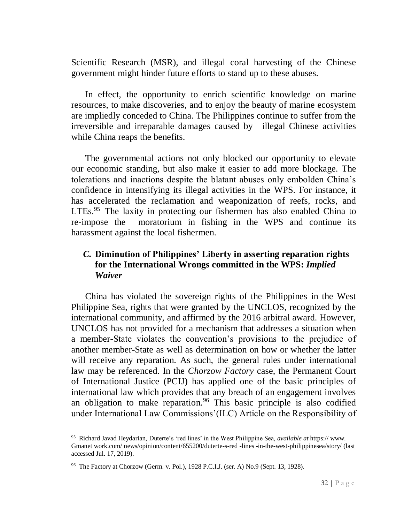Scientific Research (MSR), and illegal coral harvesting of the Chinese government might hinder future efforts to stand up to these abuses.

In effect, the opportunity to enrich scientific knowledge on marine resources, to make discoveries, and to enjoy the beauty of marine ecosystem are impliedly conceded to China. The Philippines continue to suffer from the irreversible and irreparable damages caused by illegal Chinese activities while China reaps the benefits.

The governmental actions not only blocked our opportunity to elevate our economic standing, but also make it easier to add more blockage. The tolerations and inactions despite the blatant abuses only embolden China's confidence in intensifying its illegal activities in the WPS. For instance, it has accelerated the reclamation and weaponization of reefs, rocks, and LTEs.<sup>95</sup> The laxity in protecting our fishermen has also enabled China to re-impose the moratorium in fishing in the WPS and continue its harassment against the local fishermen.

# *C.* **Diminution of Philippines' Liberty in asserting reparation rights for the International Wrongs committed in the WPS:** *Implied Waiver*

China has violated the sovereign rights of the Philippines in the West Philippine Sea, rights that were granted by the UNCLOS, recognized by the international community, and affirmed by the 2016 arbitral award. However, UNCLOS has not provided for a mechanism that addresses a situation when a member-State violates the convention's provisions to the prejudice of another member-State as well as determination on how or whether the latter will receive any reparation. As such, the general rules under international law may be referenced. In the *Chorzow Factory* case, the Permanent Court of International Justice (PCIJ) has applied one of the basic principles of international law which provides that any breach of an engagement involves an obligation to make reparation.<sup>96</sup> This basic principle is also codified under International Law Commissions'(ILC) Article on the Responsibility of

<sup>95</sup> Richard Javad Heydarian, Duterte's 'red lines' in the West Philippine Sea, *available at* https:// www. Gmanet work.com/ news/opinion/content/655200/duterte-s-red -lines -in-the-west-philippinesea/story/ (last accessed Jul. 17, 2019).

<sup>&</sup>lt;sup>96</sup> The Factory at Chorzow (Germ. v. Pol.), 1928 P.C.I.J. (ser. A) No.9 (Sept. 13, 1928).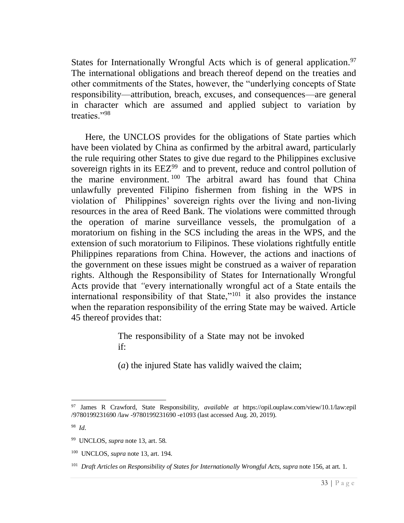States for Internationally Wrongful Acts which is of general application.<sup>97</sup> The international obligations and breach thereof depend on the treaties and other commitments of the States, however, the "underlying concepts of State responsibility—attribution, breach, excuses, and consequences—are general in character which are assumed and applied subject to variation by treaties."<sup>98</sup>

Here, the UNCLOS provides for the obligations of State parties which have been violated by China as confirmed by the arbitral award, particularly the rule requiring other States to give due regard to the Philippines exclusive sovereign rights in its  $EEZ<sup>99</sup>$  and to prevent, reduce and control pollution of the marine environment. <sup>100</sup> The arbitral award has found that China unlawfully prevented Filipino fishermen from fishing in the WPS in violation of Philippines' sovereign rights over the living and non-living resources in the area of Reed Bank. The violations were committed through the operation of marine surveillance vessels, the promulgation of a moratorium on fishing in the SCS including the areas in the WPS, and the extension of such moratorium to Filipinos. These violations rightfully entitle Philippines reparations from China. However, the actions and inactions of the government on these issues might be construed as a waiver of reparation rights. Although the Responsibility of States for Internationally Wrongful Acts provide that *"*every internationally wrongful act of a State entails the international responsibility of that State,"<sup>101</sup> it also provides the instance when the reparation responsibility of the erring State may be waived. Article 45 thereof provides that:

> The responsibility of a State may not be invoked if:

(*a*) the injured State has validly waived the claim;

 $\overline{a}$ <sup>97</sup> James R Crawford, State Responsibility, *available at* [https://opil.ouplaw.com/view/10.1/law:epil](https://opil.ouplaw.com/view/10.1093%20/law:epil%20%20/9780199231690%20/law%20-9780199231690%20-e1093)  [/9780199231690 /law -9780199231690 -e1093](https://opil.ouplaw.com/view/10.1093%20/law:epil%20%20/9780199231690%20/law%20-9780199231690%20-e1093) (last accessed Aug. 20, 2019).

<sup>98</sup> *Id*.

<sup>99</sup> UNCLOS, *supra* note 13, art. 58.

<sup>100</sup> UNCLOS, *supra* note 13, art. 194.

<sup>101</sup> *Draft Articles on Responsibility of States for Internationally Wrongful Acts*, *supra* note 156, at art. 1.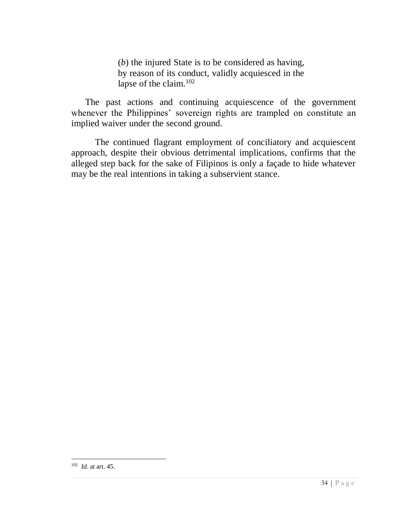(*b*) the injured State is to be considered as having, by reason of its conduct, validly acquiesced in the lapse of the claim.<sup>102</sup>

The past actions and continuing acquiescence of the government whenever the Philippines' sovereign rights are trampled on constitute an implied waiver under the second ground.

The continued flagrant employment of conciliatory and acquiescent approach, despite their obvious detrimental implications, confirms that the alleged step back for the sake of Filipinos is only a façade to hide whatever may be the real intentions in taking a subservient stance.

<sup>102</sup> *Id*. at art. 45.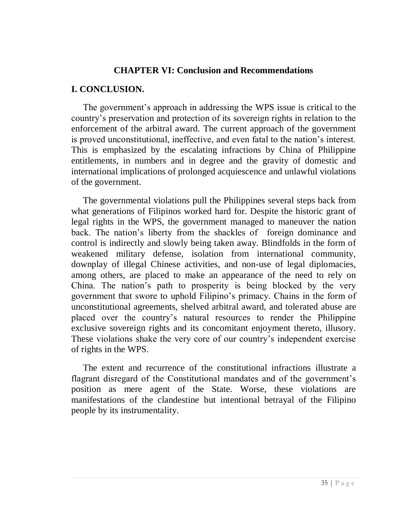#### **CHAPTER VI: Conclusion and Recommendations**

#### <span id="page-39-0"></span>**I. CONCLUSION.**

The government's approach in addressing the WPS issue is critical to the country's preservation and protection of its sovereign rights in relation to the enforcement of the arbitral award. The current approach of the government is proved unconstitutional, ineffective, and even fatal to the nation's interest. This is emphasized by the escalating infractions by China of Philippine entitlements, in numbers and in degree and the gravity of domestic and international implications of prolonged acquiescence and unlawful violations of the government.

The governmental violations pull the Philippines several steps back from what generations of Filipinos worked hard for. Despite the historic grant of legal rights in the WPS, the government managed to maneuver the nation back. The nation's liberty from the shackles of foreign dominance and control is indirectly and slowly being taken away. Blindfolds in the form of weakened military defense, isolation from international community, downplay of illegal Chinese activities, and non-use of legal diplomacies, among others, are placed to make an appearance of the need to rely on China. The nation's path to prosperity is being blocked by the very government that swore to uphold Filipino's primacy. Chains in the form of unconstitutional agreements, shelved arbitral award, and tolerated abuse are placed over the country's natural resources to render the Philippine exclusive sovereign rights and its concomitant enjoyment thereto, illusory. These violations shake the very core of our country's independent exercise of rights in the WPS.

The extent and recurrence of the constitutional infractions illustrate a flagrant disregard of the Constitutional mandates and of the government's position as mere agent of the State. Worse, these violations are manifestations of the clandestine but intentional betrayal of the Filipino people by its instrumentality.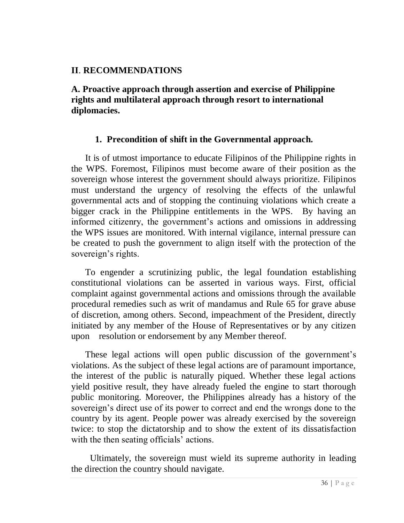# **II**. **RECOMMENDATIONS**

<span id="page-40-0"></span>**A. Proactive approach through assertion and exercise of Philippine rights and multilateral approach through resort to international diplomacies.**

# **1. Precondition of shift in the Governmental approach.**

<span id="page-40-1"></span>It is of utmost importance to educate Filipinos of the Philippine rights in the WPS. Foremost, Filipinos must become aware of their position as the sovereign whose interest the government should always prioritize. Filipinos must understand the urgency of resolving the effects of the unlawful governmental acts and of stopping the continuing violations which create a bigger crack in the Philippine entitlements in the WPS. By having an informed citizenry, the government's actions and omissions in addressing the WPS issues are monitored. With internal vigilance, internal pressure can be created to push the government to align itself with the protection of the sovereign's rights.

To engender a scrutinizing public, the legal foundation establishing constitutional violations can be asserted in various ways. First, official complaint against governmental actions and omissions through the available procedural remedies such as writ of mandamus and Rule 65 for grave abuse of discretion, among others. Second, impeachment of the President, directly initiated by any member of the House of Representatives or by any citizen upon resolution or endorsement by any Member thereof.

These legal actions will open public discussion of the government's violations. As the subject of these legal actions are of paramount importance, the interest of the public is naturally piqued. Whether these legal actions yield positive result, they have already fueled the engine to start thorough public monitoring. Moreover, the Philippines already has a history of the sovereign's direct use of its power to correct and end the wrongs done to the country by its agent. People power was already exercised by the sovereign twice: to stop the dictatorship and to show the extent of its dissatisfaction with the then seating officials' actions.

Ultimately, the sovereign must wield its supreme authority in leading the direction the country should navigate.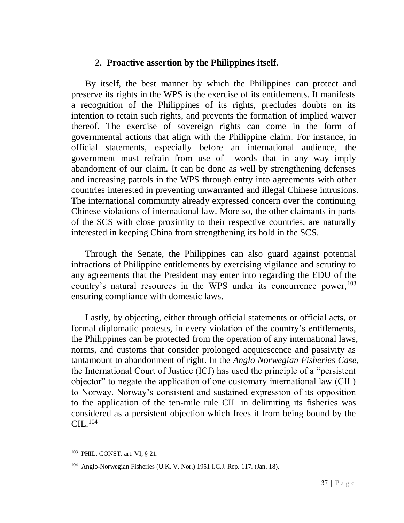#### **2. Proactive assertion by the Philippines itself.**

<span id="page-41-0"></span>By itself, the best manner by which the Philippines can protect and preserve its rights in the WPS is the exercise of its entitlements. It manifests a recognition of the Philippines of its rights, precludes doubts on its intention to retain such rights, and prevents the formation of implied waiver thereof. The exercise of sovereign rights can come in the form of governmental actions that align with the Philippine claim. For instance, in official statements, especially before an international audience, the government must refrain from use of words that in any way imply abandoment of our claim. It can be done as well by strengthening defenses and increasing patrols in the WPS through entry into agreements with other countries interested in preventing unwarranted and illegal Chinese intrusions. The international community already expressed concern over the continuing Chinese violations of international law. More so, the other claimants in parts of the SCS with close proximity to their respective countries, are naturally interested in keeping China from strengthening its hold in the SCS.

Through the Senate, the Philippines can also guard against potential infractions of Philippine entitlements by exercising vigilance and scrutiny to any agreements that the President may enter into regarding the EDU of the country's natural resources in the WPS under its concurrence power,  $103$ ensuring compliance with domestic laws.

Lastly, by objecting, either through official statements or official acts, or formal diplomatic protests, in every violation of the country's entitlements, the Philippines can be protected from the operation of any international laws, norms, and customs that consider prolonged acquiescence and passivity as tantamount to abandonment of right. In the *Anglo Norwegian Fisheries Case*, the International Court of Justice (ICJ) has used the principle of a "persistent objector" to negate the application of one customary international law (CIL) to Norway. Norway's consistent and sustained expression of its opposition to the application of the ten-mile rule CIL in delimiting its fisheries was considered as a persistent objection which frees it from being bound by the  $\text{CII}$ <sub> $\cdot$ </sub> $^{104}$ 

<sup>103</sup> PHIL. CONST. art. VI, § 21.

<sup>104</sup> Anglo-Norwegian Fisheries (U.K. V. Nor.) 1951 I.C.J. Rep. 117. (Jan. 18).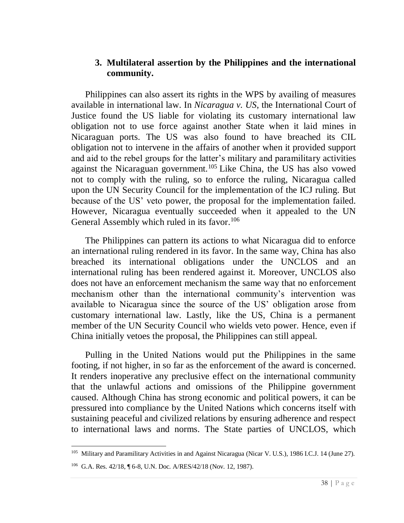#### <span id="page-42-0"></span>**3. Multilateral assertion by the Philippines and the international community.**

Philippines can also assert its rights in the WPS by availing of measures available in international law. In *Nicaragua v. US*, the International Court of Justice found the US liable for violating its customary international law obligation not to use force against another State when it laid mines in Nicaraguan ports. The US was also found to have breached its CIL obligation not to intervene in the affairs of another when it provided support and aid to the rebel groups for the latter's military and paramilitary activities against the Nicaraguan government.<sup>105</sup> Like China, the US has also vowed not to comply with the ruling, so to enforce the ruling, Nicaragua called upon the UN Security Council for the implementation of the ICJ ruling. But because of the US' veto power, the proposal for the implementation failed. However, Nicaragua eventually succeeded when it appealed to the UN General Assembly which ruled in its favor.<sup>106</sup>

The Philippines can pattern its actions to what Nicaragua did to enforce an international ruling rendered in its favor. In the same way, China has also breached its international obligations under the UNCLOS and an international ruling has been rendered against it. Moreover, UNCLOS also does not have an enforcement mechanism the same way that no enforcement mechanism other than the international community's intervention was available to Nicaragua since the source of the US' obligation arose from customary international law. Lastly, like the US, China is a permanent member of the UN Security Council who wields veto power. Hence, even if China initially vetoes the proposal, the Philippines can still appeal.

Pulling in the United Nations would put the Philippines in the same footing, if not higher, in so far as the enforcement of the award is concerned. It renders inoperative any preclusive effect on the international community that the unlawful actions and omissions of the Philippine government caused. Although China has strong economic and political powers, it can be pressured into compliance by the United Nations which concerns itself with sustaining peaceful and civilized relations by ensuring adherence and respect to international laws and norms. The State parties of UNCLOS, which

<sup>105</sup> Military and Paramilitary Activities in and Against Nicaragua (Nicar V. U.S.), 1986 I.C.J. 14 (June 27).

<sup>106</sup> G.A. Res. 42/18, ¶ 6-8, U.N. Doc. A/RES/42/18 (Nov. 12, 1987).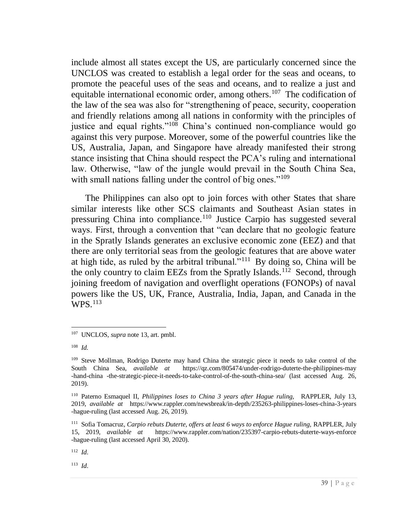include almost all states except the US, are particularly concerned since the UNCLOS was created to establish a legal order for the seas and oceans, to promote the peaceful uses of the seas and oceans, and to realize a just and equitable international economic order, among others.<sup>107</sup> The codification of the law of the sea was also for "strengthening of peace, security, cooperation and friendly relations among all nations in conformity with the principles of justice and equal rights."<sup>108</sup> China's continued non-compliance would go against this very purpose. Moreover, some of the powerful countries like the US, Australia, Japan, and Singapore have already manifested their strong stance insisting that China should respect the PCA's ruling and international law. Otherwise, "law of the jungle would prevail in the South China Sea, with small nations falling under the control of big ones."<sup>109</sup>

The Philippines can also opt to join forces with other States that share similar interests like other SCS claimants and Southeast Asian states in pressuring China into compliance.<sup>110</sup> Justice Carpio has suggested several ways. First, through a convention that "can declare that no geologic feature in the Spratly Islands generates an exclusive economic zone (EEZ) and that there are only territorial seas from the geologic features that are above water at high tide, as ruled by the arbitral tribunal."<sup>111</sup> By doing so, China will be the only country to claim EEZs from the Spratly Islands.<sup>112</sup> Second, through joining freedom of navigation and overflight operations (FONOPs) of naval powers like the US, UK, France, Australia, India, Japan, and Canada in the WPS.<sup>113</sup>

<sup>112</sup> *Id*.

<sup>113</sup> *Id*.

 $\overline{a}$ <sup>107</sup> UNCLOS, *supra* note 13, art. pmbl.

<sup>108</sup> *Id.*

<sup>&</sup>lt;sup>109</sup> Steve Mollman, Rodrigo Duterte may hand China the strategic piece it needs to take control of the South China Sea, *available at* <https://qz.com/805474/under-rodrigo-duterte-the-philippines-may> -hand-china -the-strategic-piece-it-needs-to-take-control-of-the-south-china-sea/ (last accessed Aug. 26, 2019).

<sup>110</sup> Paterno Esmaquel II, *Philippines loses to China 3 years after Hague ruling,* RAPPLER, July 13, 2019, *available at* [https://www.rappler.com/newsbreak/in-depth/235263-philippines-loses-china-3-years](https://www.rappler.com/newsbreak/in-depth/235263-philippines-loses-china-3-years-hague-ruling) [-hague-ruling](https://www.rappler.com/newsbreak/in-depth/235263-philippines-loses-china-3-years-hague-ruling) (last accessed Aug. 26, 2019).

<sup>111</sup> Sofia Tomacruz, *Carpio rebuts Duterte, offers at least 6 ways to enforce Hague ruling,* RAPPLER*,* July 15, 2019, *available at* [https://www.rappler.com/nation/235397-carpio-rebuts-duterte-ways-enforce](https://www.rappler.com/nation/235397-carpio-rebuts-duterte-ways-enforce-hague-ruling) [-hague-ruling](https://www.rappler.com/nation/235397-carpio-rebuts-duterte-ways-enforce-hague-ruling) (last accessed April 30, 2020).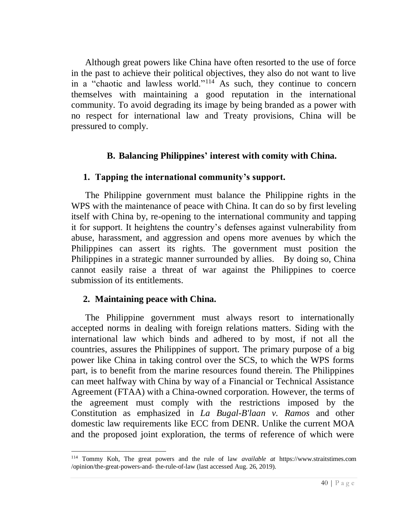Although great powers like China have often resorted to the use of force in the past to achieve their political objectives, they also do not want to live in a "chaotic and lawless world."<sup>114</sup> As such, they continue to concern themselves with maintaining a good reputation in the international community. To avoid degrading its image by being branded as a power with no respect for international law and Treaty provisions, China will be pressured to comply.

# **B. Balancing Philippines' interest with comity with China.**

# <span id="page-44-1"></span><span id="page-44-0"></span>**1. Tapping the international community's support.**

The Philippine government must balance the Philippine rights in the WPS with the maintenance of peace with China. It can do so by first leveling itself with China by, re-opening to the international community and tapping it for support. It heightens the country's defenses against vulnerability from abuse, harassment, and aggression and opens more avenues by which the Philippines can assert its rights. The government must position the Philippines in a strategic manner surrounded by allies. By doing so, China cannot easily raise a threat of war against the Philippines to coerce submission of its entitlements.

# <span id="page-44-2"></span>**2. Maintaining peace with China.**

 $\overline{a}$ 

The Philippine government must always resort to internationally accepted norms in dealing with foreign relations matters. Siding with the international law which binds and adhered to by most, if not all the countries, assures the Philippines of support. The primary purpose of a big power like China in taking control over the SCS, to which the WPS forms part, is to benefit from the marine resources found therein. The Philippines can meet halfway with China by way of a Financial or Technical Assistance Agreement (FTAA) with a China-owned corporation. However, the terms of the agreement must comply with the restrictions imposed by the Constitution as emphasized in *La Bugal-B'laan v. Ramos* and other domestic law requirements like ECC from DENR. Unlike the current MOA and the proposed joint exploration, the terms of reference of which were

<sup>114</sup> Tommy Koh, The great powers and the rule of law *available at* [https://www.straitstimes.com](https://www.straitstimes.com/) /opinion/the-great-powers-and- the-rule-of-law (last accessed Aug. 26, 2019).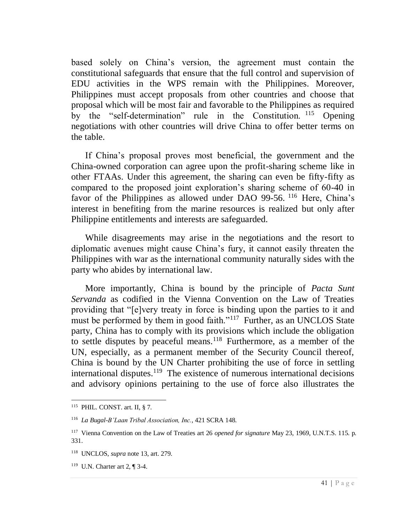based solely on China's version, the agreement must contain the constitutional safeguards that ensure that the full control and supervision of EDU activities in the WPS remain with the Philippines. Moreover, Philippines must accept proposals from other countries and choose that proposal which will be most fair and favorable to the Philippines as required by the "self-determination" rule in the Constitution. <sup>115</sup> Opening negotiations with other countries will drive China to offer better terms on the table.

If China's proposal proves most beneficial, the government and the China-owned corporation can agree upon the profit-sharing scheme like in other FTAAs. Under this agreement, the sharing can even be fifty-fifty as compared to the proposed joint exploration's sharing scheme of 60-40 in favor of the Philippines as allowed under DAO 99-56. <sup>116</sup> Here, China's interest in benefiting from the marine resources is realized but only after Philippine entitlements and interests are safeguarded.

While disagreements may arise in the negotiations and the resort to diplomatic avenues might cause China's fury, it cannot easily threaten the Philippines with war as the international community naturally sides with the party who abides by international law.

More importantly, China is bound by the principle of *Pacta Sunt Servanda* as codified in the Vienna Convention on the Law of Treaties providing that "[e]very treaty in force is binding upon the parties to it and must be performed by them in good faith."<sup>117</sup> Further, as an UNCLOS State party, China has to comply with its provisions which include the obligation to settle disputes by peaceful means.<sup>118</sup> Furthermore, as a member of the UN, especially, as a permanent member of the Security Council thereof, China is bound by the UN Charter prohibiting the use of force in settling international disputes. $119$  The existence of numerous international decisions and advisory opinions pertaining to the use of force also illustrates the

<sup>115</sup> PHIL. CONST. art. II, § 7.

<sup>116</sup> *La Bugal-B'Laan Tribal Association, Inc.*, 421 SCRA 148.

<sup>117</sup> Vienna Convention on the Law of Treaties art 26 *opened for signature* May 23, 1969, U.N.T.S. 115. p. 331.

<sup>118</sup> UNCLOS, *supra* note 13, art. 279.

<sup>119</sup> U.N. Charter art 2, ¶ 3-4.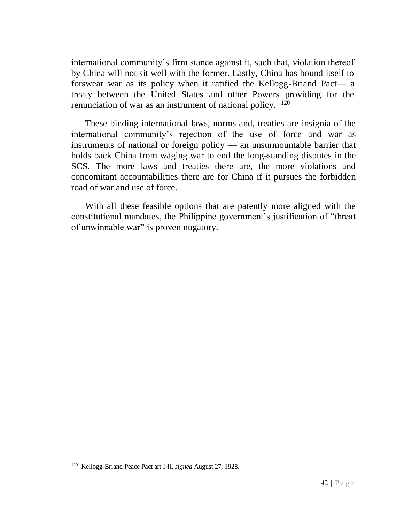international community's firm stance against it, such that, violation thereof by China will not sit well with the former. Lastly, China has bound itself to forswear war as its policy when it ratified the Kellogg-Briand Pact— a treaty between the United States and other Powers providing for the renunciation of war as an instrument of national policy.  $120$ 

These binding international laws, norms and, treaties are insignia of the international community's rejection of the use of force and war as instruments of national or foreign policy — an unsurmountable barrier that holds back China from waging war to end the long-standing disputes in the SCS. The more laws and treaties there are, the more violations and concomitant accountabilities there are for China if it pursues the forbidden road of war and use of force.

With all these feasible options that are patently more aligned with the constitutional mandates, the Philippine government's justification of "threat of unwinnable war" is proven nugatory.

<sup>120</sup> Kellogg-Briand Peace Pact art I-II, *signed* August 27, 1928.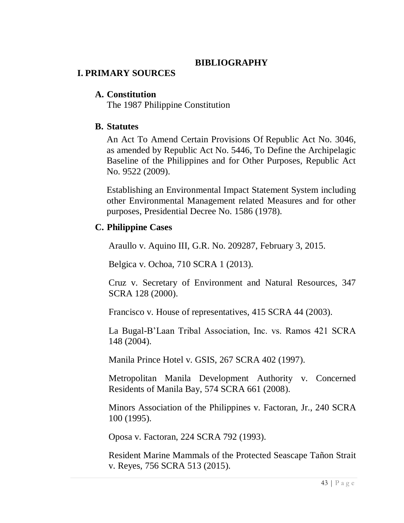# **BIBLIOGRAPHY**

# **I. PRIMARY SOURCES**

#### **A. Constitution**

The 1987 Philippine Constitution

#### **B. Statutes**

An Act To Amend Certain Provisions Of [Republic Act No. 3046,](https://www.lawphil.net/statutes/repacts/ra1961/ra_3046_1961.html) as amended by [Republic Act No. 5446,](https://www.lawphil.net/statutes/repacts/ra1968/ra_5446_1968.html) To Define the Archipelagic Baseline of the Philippines and for Other Purposes, Republic Act No. 9522 (2009).

Establishing an Environmental Impact Statement System including other Environmental Management related Measures and for other purposes, Presidential Decree No. 1586 (1978).

# **C. Philippine Cases**

Araullo v. Aquino III, G.R. No. 209287, February 3, 2015.

Belgica v. Ochoa, 710 SCRA 1 (2013).

Cruz v. Secretary of Environment and Natural Resources, 347 SCRA 128 (2000).

Francisco v. House of representatives, 415 SCRA 44 (2003).

La Bugal-B'Laan Tribal Association, Inc. vs. Ramos 421 SCRA 148 (2004).

Manila Prince Hotel v. GSIS, 267 SCRA 402 (1997).

Metropolitan Manila Development Authority v. Concerned Residents of Manila Bay, 574 SCRA 661 (2008).

Minors Association of the Philippines v. Factoran, Jr., 240 SCRA 100 (1995).

Oposa v. Factoran, 224 SCRA 792 (1993).

Resident Marine Mammals of the Protected Seascape Tañon Strait v. Reyes, 756 SCRA 513 (2015).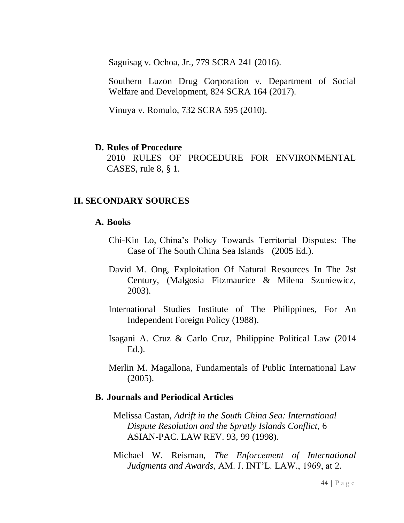Saguisag v. Ochoa, Jr., 779 SCRA 241 (2016).

Southern Luzon Drug Corporation v. Department of Social Welfare and Development, 824 SCRA 164 (2017).

Vinuya v. Romulo, 732 SCRA 595 (2010).

#### **D. Rules of Procedure**

2010 RULES OF PROCEDURE FOR ENVIRONMENTAL CASES, rule 8, § 1.

# **II. SECONDARY SOURCES**

#### **A. Books**

- Chi-Kin Lo, China's Policy Towards Territorial Disputes: The Case of The South China Sea Islands (2005 Ed.).
- David M. Ong, Exploitation Of Natural Resources In The 2st Century, (Malgosia Fitzmaurice & Milena Szuniewicz, 2003).
- International Studies Institute of The Philippines, For An Independent Foreign Policy (1988).
- Isagani A. Cruz & Carlo Cruz, Philippine Political Law (2014 Ed.).
- Merlin M. Magallona, Fundamentals of Public International Law (2005).

#### **B. Journals and Periodical Articles**

- Melissa Castan, *Adrift in the South China Sea: International Dispute Resolution and the Spratly Islands Conflict*, 6 ASIAN-PAC. LAW REV. 93, 99 (1998).
- Michael W. Reisman, *The Enforcement of International Judgments and Awards*, AM. J. INT'L. LAW., 1969, at 2.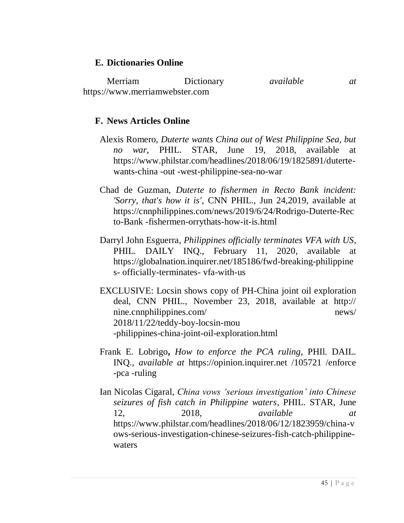# **E. Dictionaries Online**

Merriam Dictionary *available at* [https://www.merriamwebster.com](https://www.merriamwebster.com/)

# **F. News Articles Online**

- Alexis Romero, *Duterte wants China out of West Philippine Sea, but no war,* PHIL. STAR, June 19, 2018, available at https://www.philstar.com/headlines/2018/06/19/1825891/dutertewants-china -out -west-philippine-sea-no-war
- Chad de Guzman, *Duterte to fishermen in Recto Bank incident: 'Sorry, that's how it is'*, CNN PHIL., Jun 24,2019, available at https://cnnphilippines.com/news/2019/6/24/Rodrigo-Duterte-Rec to-Bank -fishermen-orrythats-how-it-is.html
- Darryl John Esguerra, *Philippines officially terminates VFA with US*, PHIL. DAILY INQ., February 11, 2020, available at [https://globalnation.inquirer.net/185186/fwd-breaking-philippine](https://globalnation.inquirer.net/185186/fwd-breaking-philippines-officially-terminates-vfa-with-us) s- [officially-terminates-](https://globalnation.inquirer.net/185186/fwd-breaking-philippines-officially-terminates-vfa-with-us) vfa-with-us
- EXCLUSIVE: Locsin shows copy of PH-China joint oil exploration deal, CNN PHIL., November 23, 2018, available at http:// nine.cnnphilippines.com/ news/ 2018/11/22/teddy-boy-locsin-mou -philippines-china-joint-oil-exploration.html
- [Frank E. Lobrigo](https://opinion.inquirer.net/byline/frank-e-lobrigo)**,** *How to enforce the PCA ruling*, PHIl. DAIL. INQ., *available at* https://opinion.inquirer.net /105721 /enforce -pca -ruling
- [Ian Nicolas Cigaral,](https://www.philstar.com/authors/1805247/ian-nicolas-cigaral) *China vows 'serious investigation' into Chinese seizures of fish catch in Philippine waters*, PHIL. STAR, June 12, 2018, *available at* [https://www.philstar.com/headlines/2018/06/12/1823959/china-v](https://www.philstar.com/headlines/2018/06/12/1823959/china-vows-serious-investigation-chinese-seizures-fish-catch-philippine-waters) [ows-serious-investigation-chinese-seizures-fish-catch-philippine](https://www.philstar.com/headlines/2018/06/12/1823959/china-vows-serious-investigation-chinese-seizures-fish-catch-philippine-waters)[waters](https://www.philstar.com/headlines/2018/06/12/1823959/china-vows-serious-investigation-chinese-seizures-fish-catch-philippine-waters)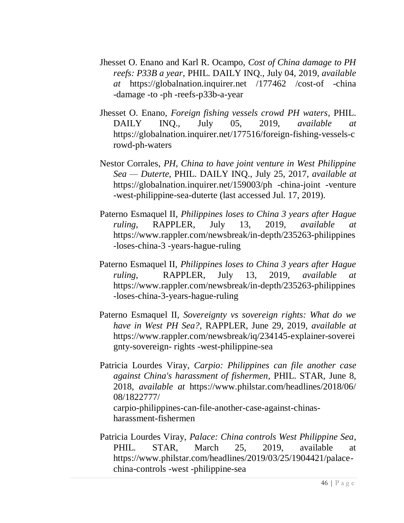- [Jhesset O. Enano](https://globalnation.inquirer.net/byline/jhesset-o-enano) and [Karl R. Ocampo,](https://globalnation.inquirer.net/byline/karl-r-ocampo) *Cost of China damage to PH reefs: P33B a year,* PHIL. DAILY INQ., July 04, 2019, *available at* https://globalnation.inquirer.net /177462 /cost-of -china -damage -to -ph -reefs-p33b-a-year
- [Jhesset O. Enano,](https://globalnation.inquirer.net/byline/jhesset-o-enano) *Foreign fishing vessels crowd PH waters*, PHIL. DAILY INQ., July 05, 2019, *available at*  [https://globalnation.inquirer.net/177516/foreign-fishing-vessels-c](https://globalnation.inquirer.net/177516/foreign-fishing-vessels-crowd-ph-waters) [rowd-ph-waters](https://globalnation.inquirer.net/177516/foreign-fishing-vessels-crowd-ph-waters)
- [Nestor Corrales,](https://globalnation.inquirer.net/byline/nestor-corrales) *PH, China to have joint venture in West Philippine Sea — Duterte,* PHIL. DAILY INQ., July 25, 2017, *available at* https://globalnation.inquirer.net/159003/ph -china-joint -venture -west-philippine-sea-duterte (last accessed Jul. 17, 2019).
- Paterno Esmaquel II, *Philippines loses to China 3 years after Hague ruling*, RAPPLER, July 13, 2019, *available at*  [https://www.rappler.com/newsbreak/in-depth/235263-philippines](https://www.rappler.com/newsbreak/in-depth/235263-philippines-loses-china-3%20-years-hague-ruling) [-loses-china-3 -years-hague-ruling](https://www.rappler.com/newsbreak/in-depth/235263-philippines-loses-china-3%20-years-hague-ruling)
- Paterno Esmaquel II, *Philippines loses to China 3 years after Hague ruling,* RAPPLER, July 13, 2019, *available at* [https://www.rappler.com/newsbreak/in-depth/235263-philippines](https://www.rappler.com/newsbreak/in-depth/235263-philippines-loses-china-3-years-hague-ruling) [-loses-china-3-years-hague-ruling](https://www.rappler.com/newsbreak/in-depth/235263-philippines-loses-china-3-years-hague-ruling)
- Paterno Esmaquel II, *Sovereignty vs sovereign rights: What do we have in West PH Sea?*, RAPPLER, June 29, 2019, *available at* https://www.rappler.com/newsbreak/iq/234145-explainer-soverei gnty-sovereign- rights -west-philippine-sea
- [Patricia Lourdes Viray,](https://www.philstar.com/authors/1645031/patricia-lourdes-viray) *Carpio: Philippines can file another case against China's harassment of fishermen*, PHIL. STAR, June 8, 2018, *available at* [https://www.philstar.com/headlines/2018/06/](https://www.philstar.com/headlines/2018/06/08/1822777/carpio-philippines-can-file-another-case-against-chinas-harassment-fishermen) [08/1822777/](https://www.philstar.com/headlines/2018/06/08/1822777/carpio-philippines-can-file-another-case-against-chinas-harassment-fishermen) [carpio-philippines-can-file-another-case-against-chinas](https://www.philstar.com/headlines/2018/06/08/1822777/carpio-philippines-can-file-another-case-against-chinas-harassment-fishermen)[harassment-fishermen](https://www.philstar.com/headlines/2018/06/08/1822777/carpio-philippines-can-file-another-case-against-chinas-harassment-fishermen)
- Patricia Lourdes Viray, *Palace: China controls West Philippine Sea*, PHIL. STAR, March 25, 2019, available at https://www.philstar.com/headlines/2019/03/25/1904421/palacechina-controls -west -philippine-sea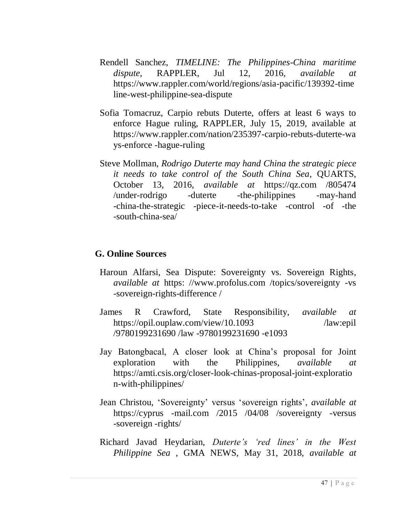- Rendell Sanchez, *TIMELINE: The Philippines-China maritime dispute*, RAPPLER, Jul 12, 2016, *available at* [https://www.rappler.com/world/regions/asia-pacific/139392-time](https://www.rappler.com/world/regions/asia-pacific/139392-timeline-west-philippine-sea-dispute) [line-west-philippine-sea-dispute](https://www.rappler.com/world/regions/asia-pacific/139392-timeline-west-philippine-sea-dispute)
- Sofia Tomacruz, Carpio rebuts Duterte, offers at least 6 ways to enforce Hague ruling, RAPPLER, July 15, 2019, available at https://www.rappler.com/nation/235397-carpio-rebuts-duterte-wa ys-enforce -hague-ruling
- Steve Mollman, *Rodrigo Duterte may hand China the strategic piece it needs to take control of the South China Sea*, QUARTS, October 13, 2016, *available at* https://qz.com /805474 /under-rodrigo -duterte -the-philippines -may-hand -china-the-strategic -piece-it-needs-to-take -control -of -the -south-china-sea/

#### **G. Online Sources**

- [Haroun Alfarsi,](https://www.profolus.com/author/haroun-profolus/) Sea Dispute: Sovereignty vs. Sovereign Rights, *available at* https: //www.profolus.com /topics/sovereignty -vs -sovereign-rights-difference /
- James R Crawford, State Responsibility, *available at* https://opil.ouplaw.com/view/10.1093 /law:epil [/9780199231690 /law -9780199231690 -e1093](https://opil.ouplaw.com/view/10.1093%20/law:epil%20%20/9780199231690%20/law%20-9780199231690%20-e1093)
- Jay Batongbacal, A closer look at China's proposal for Joint exploration with the Philippines, *available at* https://amti.csis.org/closer-look-chinas-proposal-joint-exploratio n-with-philippines/
- Jean Christou, 'Sovereignty' versus 'sovereign rights', *available at*  https://cyprus -mail.com /2015 /04/08 /sovereignty -versus -sovereign -rights/
- Richard Javad Heydarian, *Duterte's 'red lines' in the West Philippine Sea* , GMA NEWS, May 31, 2018, *available at*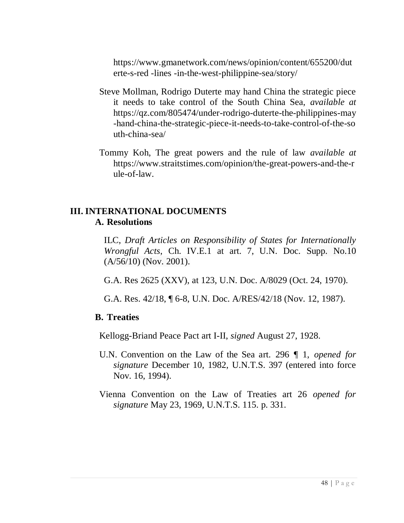https://www.gmanetwork.com/news/opinion/content/655200/dut erte-s-red -lines -in-the-west-philippine-sea/story/

- Steve Mollman, Rodrigo Duterte may hand China the strategic piece it needs to take control of the South China Sea, *available at* [https://qz.com/805474/under-rodrigo-duterte-the-philippines-may](https://qz.com/805474/under-rodrigo-duterte-the-philippines-may-hand-china-the-strategic-piece-it-needs-to-take-control-of-the-south-china-sea/) [-hand-china-the-strategic-piece-it-needs-to-take-control-of-the-so](https://qz.com/805474/under-rodrigo-duterte-the-philippines-may-hand-china-the-strategic-piece-it-needs-to-take-control-of-the-south-china-sea/) [uth-china-sea/](https://qz.com/805474/under-rodrigo-duterte-the-philippines-may-hand-china-the-strategic-piece-it-needs-to-take-control-of-the-south-china-sea/)
- Tommy Koh, The great powers and the rule of law *available at* [https://www.straitstimes.com/opinion/the-great-powers-and-the-r](https://www.straitstimes.com/opinion/the-great-powers-and-the-rule-of-law) [ule-of-law.](https://www.straitstimes.com/opinion/the-great-powers-and-the-rule-of-law)

# **III. INTERNATIONAL DOCUMENTS A. Resolutions**

ILC, *Draft Articles on Responsibility of States for Internationally Wrongful Acts*, Ch. IV.E.1 at art. 7, U.N. Doc. Supp. No.10 (A/56/10) (Nov. 2001).

G.A. Res 2625 (XXV), at 123, U.N. Doc. A/8029 (Oct. 24, 1970).

G.A. Res. 42/18, ¶ 6-8, U.N. Doc. A/RES/42/18 (Nov. 12, 1987).

# **B. Treaties**

Kellogg-Briand Peace Pact art I-II, *signed* August 27, 1928.

- U.N. Convention on the Law of the Sea art. 296 ¶ 1, *opened for signature* December 10, 1982, U.N.T.S. 397 (entered into force Nov. 16, 1994).
- Vienna Convention on the Law of Treaties art 26 *opened for signature* May 23, 1969, U.N.T.S. 115. p. 331.